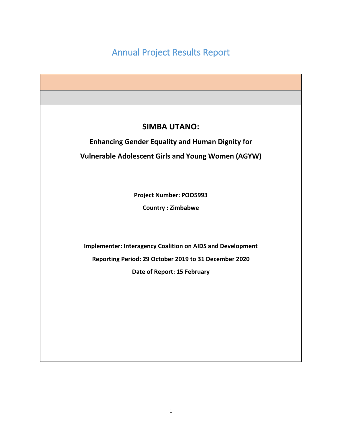# Annual Project Results Report

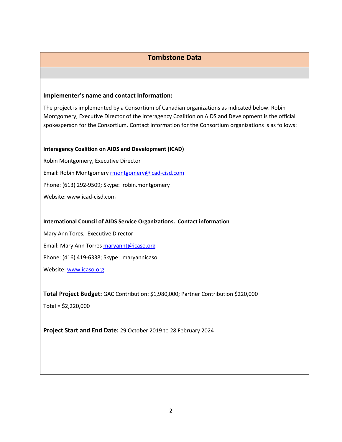# **Tombstone Data**

#### **Implementer's name and contact Information:**

The project is implemented by a Consortium of Canadian organizations as indicated below. Robin Montgomery, Executive Director of the Interagency Coalition on AIDS and Development is the official spokesperson for the Consortium. Contact information for the Consortium organizations is as follows:

#### **Interagency Coalition on AIDS and Development (ICAD)**

Robin Montgomery, Executive Director Email: Robin Montgomery **[rmontgomery@icad-cisd.com](mailto:rmontgomery@icad-cisd.com)** Phone: (613) 292-9509; Skype: robin.montgomery Website: www.icad-cisd.com

#### **International Council of AIDS Service Organizations. Contact information**

Mary Ann Tores, Executive Director

Email: Mary Ann Torres [maryannt@icaso.org](mailto:maryannt@icaso.org)

Phone: (416) 419-6338; Skype: maryannicaso

Website: [www.icaso.org](http://www.icaso.org/)

**Total Project Budget:** GAC Contribution: \$1,980,000; Partner Contribution \$220,000

Total = \$2,220,000

**Project Start and End Date:** 29 October 2019 to 28 February 2024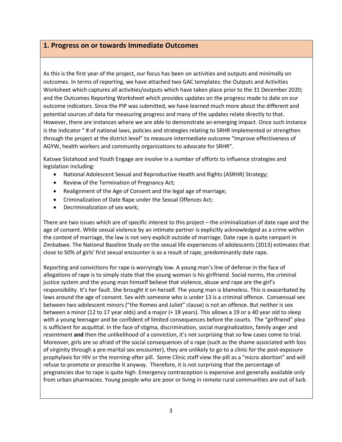## **1. Progress on or towards Immediate Outcomes**

As this is the first year of the project, our focus has been on activities and outputs and minimally on outcomes. In terms of reporting, we have attached two GAC templates: the Outputs and Activities Worksheet which captures all activities/outputs which have taken place prior to the 31 December 2020; and the Outcomes Reporting Worksheet which provides updates on the progress made to date on our outcome indicators. Since the PIP was submitted, we have learned much more about the different and potential sources of data for measuring progress and many of the updates relate directly to that. However, there are instances where we are able to demonstrate an emerging impact. Once such instance is the indicator " # of national laws, policies and strategies relating to SRHR implemented or strengthen through the project at the district level" to measure intermediate outcome "Improve effectiveness of AGYW, health workers and community organizations to advocate for SRHR".

Katswe Sistahood and Youth Engage are involve in a number of efforts to influence strategies and legislation including:

- National Adolescent Sexual and Reproductive Health and Rights (ASRHR) Strategy;
- Review of the Termination of Pregnancy Act;
- Realignment of the Age of Consent and the legal age of marriage;
- Criminalization of Date Rape under the Sexual Offences Act;
- Decriminalization of sex work;

There are two issues which are of specific interest to this project – the criminalization of date rape and the age of consent. While sexual violence by an intimate partner is explicitly acknowledged as a crime within the context of marriage, the law is not very explicit outside of marriage. Date rape is quite rampant in Zimbabwe. The National Baseline Study on the sexual life experiences of adolescents (2013) estimates that close to 50% of girls' first sexual encounter is as a result of rape, predominantly date rape.

Reporting and convictions for rape is worryingly low. A young man's line of defense in the face of allegations of rape is to simply state that the young woman is his girlfriend. Social norms, the criminal justice system and the young man himself believe that violence, abuse and rape are the girl's responsibility. It's her fault. She brought it on herself. The young man is blameless. This is exacerbated by laws around the age of consent. Sex with someone who is under 13 is a criminal offence. Consensual sex between two adolescent minors ("the Romeo and Juliet" clause) is not an offence. But neither is sex between a minor (12 to 17 year olds) and a major (+ 18 years). This allows a 19 or a 40 year old to sleep with a young teenager and be confident of limited consequences before the courts. The "girlfriend" plea is sufficient for acquittal. In the face of stigma, discrimination, social marginalization, family anger and resentment **and** then the unlikelihood of a conviction, it's not surprising that so few cases come to trial. Moreover, girls are so afraid of the social consequences of a rape (such as the shame associated with loss of virginity through a pre-marital sex encounter), they are unlikely to go to a clinic for the post-exposure prophylaxis for HIV or the morning-after pill. Some Clinic staff view the pill as a "micro abortion" and will refuse to promote or prescribe it anyway. Therefore, it is not surprising that the percentage of pregnancies due to rape is quite high. Emergency contraception is expensive and generally available only from urban pharmacies. Young people who are poor or living in remote rural communities are out of luck.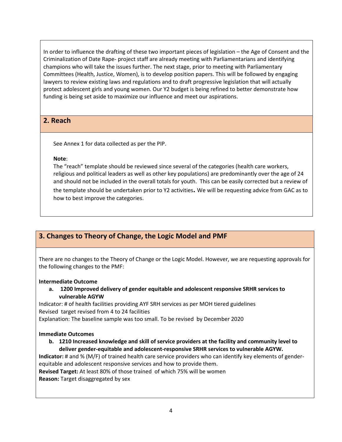In order to influence the drafting of these two important pieces of legislation – the Age of Consent and the Criminalization of Date Rape- project staff are already meeting with Parliamentarians and identifying champions who will take the issues further. The next stage, prior to meeting with Parliamentary Committees (Health, Justice, Women), is to develop position papers. This will be followed by engaging lawyers to review existing laws and regulations and to draft progressive legislation that will actually protect adolescent girls and young women. Our Y2 budget is being refined to better demonstrate how funding is being set aside to maximize our influence and meet our aspirations.

# **2. Reach**

See Annex 1 for data collected as per the PIP.

#### **Note**:

The "reach" template should be reviewed since several of the categories (health care workers, religious and political leaders as well as other key populations) are predominantly over the age of 24 and should not be included in the overall totals for youth. This can be easily corrected but a review of

the template should be undertaken prior to Y2 activities**.** We will be requesting advice from GAC as to how to best improve the categories.

# **3. Changes to Theory of Change, the Logic Model and PMF**

There are no changes to the Theory of Change or the Logic Model. However, we are requesting approvals for the following changes to the PMF:

#### **Intermediate Outcome**

**a. 1200 Improved delivery of gender equitable and adolescent responsive SRHR services to vulnerable AGYW**

Indicator: # of health facilities providing AYF SRH services as per MOH tiered guidelines Revised target revised from 4 to 24 facilities

Explanation: The baseline sample was too small. To be revised by December 2020

## **Immediate Outcomes**

**b. 1210 Increased knowledge and skill of service providers at the facility and community level to deliver gender-equitable and adolescent-responsive SRHR services to vulnerable AGYW.**

**Indicator:** # and % (M/F) of trained health care service providers who can identify key elements of genderequitable and adolescent responsive services and how to provide them.

**Revised Target:** At least 80% of those trained of which 75% will be women

**Reason:** Target disaggregated by sex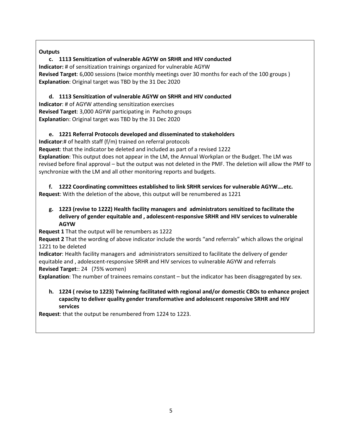## **Outputs**

**c. 1113 Sensitization of vulnerable AGYW on SRHR and HIV conducted Indicator:** # of sensitization trainings organized for vulnerable AGYW **Revised Target**: 6,000 sessions (twice monthly meetings over 30 months for each of the 100 groups ) **Explanation**: Original target was TBD by the 31 Dec 2020

**d. 1113 Sensitization of vulnerable AGYW on SRHR and HIV conducted Indicator**: # of AGYW attending sensitization exercises **Revised Target**: 3,000 AGYW participating in Pachoto groups **Explanatio**n: Original target was TBD by the 31 Dec 2020

## **e. 1221 Referral Protocols developed and disseminated to stakeholders**

**Indicator**:# of health staff (f/m) trained on referral protocols

**Request**: that the indicator be deleted and included as part of a revised 1222

**Explanation**: This output does not appear in the LM, the Annual Workplan or the Budget. The LM was revised before final approval – but the output was not deleted in the PMF. The deletion will allow the PMF to synchronize with the LM and all other monitoring reports and budgets.

**f. 1222 Coordinating committees established to link SRHR services for vulnerable AGYW….etc. Request**: With the deletion of the above, this output will be renumbered as 1221

**g. 1223 (revise to 1222) Health facility managers and administrators sensitized to facilitate the delivery of gender equitable and , adolescent-responsive SRHR and HIV services to vulnerable AGYW**

**Request 1** That the output will be renumbers as 1222

**Request 2** That the wording of above indicator include the words "and referrals" which allows the original 1221 to be deleted

**Indicator**: Health facility managers and administrators sensitized to facilitate the delivery of gender equitable and , adolescent-responsive SRHR and HIV services to vulnerable AGYW and referrals

**Revised Target**:: 24 (75% women)

**Explanation**: The number of trainees remains constant – but the indicator has been disaggregated by sex.

**h. 1224 ( revise to 1223) Twinning facilitated with regional and/or domestic CBOs to enhance project capacity to deliver quality gender transformative and adolescent responsive SRHR and HIV services**

**Request**: that the output be renumbered from 1224 to 1223.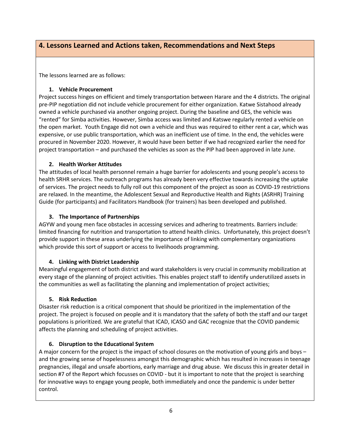# **4. Lessons Learned and Actions taken, Recommendations and Next Steps**

The lessons learned are as follows:

#### **1. Vehicle Procurement**

Project success hinges on efficient and timely transportation between Harare and the 4 districts. The original pre-PIP negotiation did not include vehicle procurement for either organization. Katwe Sistahood already owned a vehicle purchased via another ongoing project. During the baseline and GES, the vehicle was "rented" for Simba activities. However, Simba access was limited and Katswe regularly rented a vehicle on the open market. Youth Engage did not own a vehicle and thus was required to either rent a car, which was expensive, or use public transportation, which was an inefficient use of time. In the end, the vehicles were procured in November 2020. However, it would have been better if we had recognized earlier the need for project transportation – and purchased the vehicles as soon as the PIP had been approved in late June.

## **2. Health Worker Attitudes**

The attitudes of local health personnel remain a huge barrier for adolescents and young people's access to health SRHR services. The outreach programs has already been very effective towards increasing the uptake of services. The project needs to fully roll out this component of the project as soon as COVID-19 restrictions are relaxed. In the meantime, the Adolescent Sexual and Reproductive Health and Rights (ASRHR) Training Guide (for participants) and Facilitators Handbook (for trainers) has been developed and published.

## **3. The Importance of Partnerships**

AGYW and young men face obstacles in accessing services and adhering to treatments. Barriers include: limited financing for nutrition and transportation to attend health clinics. Unfortunately, this project doesn't provide support in these areas underlying the importance of linking with complementary organizations which provide this sort of support or access to livelihoods programming.

## **4. Linking with District Leadership**

Meaningful engagement of both district and ward stakeholders is very crucial in community mobilization at every stage of the planning of project activities. This enables project staff to identify underutilized assets in the communities as well as facilitating the planning and implementation of project activities;

## **5. Risk Reduction**

Disaster risk reduction is a critical component that should be prioritized in the implementation of the project. The project is focused on people and it is mandatory that the safety of both the staff and our target populations is prioritized. We are grateful that ICAD, ICASO and GAC recognize that the COVID pandemic affects the planning and scheduling of project activities.

## **6. Disruption to the Educational System**

A major concern for the project is the impact of school closures on the motivation of young girls and boys – and the growing sense of hopelessness amongst this demographic which has resulted in increases in teenage pregnancies, illegal and unsafe abortions, early marriage and drug abuse. We discuss this in greater detail in section #7 of the Report which focusses on COVID - but it is important to note that the project is searching for innovative ways to engage young people, both immediately and once the pandemic is under better control.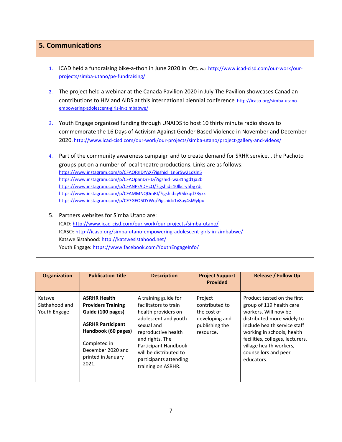## **5. Communications**

- 1. ICAD held a fundraising bike-a-thon in June 2020 in Ottawa http://www.icad-cisd.com/our-work/ourprojects/simba-utano/pe-fundraising/
- 2. The project held a webinar at the Canada Pavilion 2020 in July The Pavilion showcases Canadian contributions to HIV and AIDS at this international biennial conference[. http://icaso.org/simba-utano](http://icaso.org/simba-utano-empowering-adolescent-girls-in-zimbabwe/)[empowering-adolescent-girls-in-zimbabwe/](http://icaso.org/simba-utano-empowering-adolescent-girls-in-zimbabwe/)
- 3. Youth Engage organized funding through UNAIDS to host 10 thirty minute radio shows to commemorate the 16 Days of Activism Against Gender Based Violence in November and December 2020. http://www.icad-cisd.com/our-work/our-projects/simba-utano/project-gallery-and-videos/

4. Part of the community awareness campaign and to create demand for SRHR service, , the Pachoto groups put on a number of local theatre productions. Links are as follows: <https://www.instagram.com/p/CFAOFzIDYAX/?igshid=1n6r5w21dsln5> <https://www.instagram.com/p/CFAOpanDrHD/?igshid=wa31ngd1ja2b> <https://www.instagram.com/p/CFANPzADHcQ/?igshid=10lkcryhbg7di> <https://www.instagram.com/p/CFAMMNQDmRI/?igshid=y95kkqd73yxx> <https://www.instagram.com/p/CE7GEO5DYWq/?igshid=1v8ay4sk9ylpu>

5. Partners websites for Simba Utano are: ICAD:<http://www.icad-cisd.com/our-work/our-projects/simba-utano/> ICASO:<http://icaso.org/simba-utano-empowering-adolescent-girls-in-zimbabwe/> Katswe Sistahood:<http://katswesistahood.net/> Youth Engage: https://www.facebook.com/YouthEngageInfo/

| <b>Organization</b>                      | <b>Publication Title</b>                                                                                                                                                                     | <b>Description</b>                                                                                                                                                                                                                                     | <b>Project Support</b><br><b>Provided</b>                                                 | <b>Release / Follow Up</b>                                                                                                                                                                                                                                                       |
|------------------------------------------|----------------------------------------------------------------------------------------------------------------------------------------------------------------------------------------------|--------------------------------------------------------------------------------------------------------------------------------------------------------------------------------------------------------------------------------------------------------|-------------------------------------------------------------------------------------------|----------------------------------------------------------------------------------------------------------------------------------------------------------------------------------------------------------------------------------------------------------------------------------|
| Katswe<br>Sisthahood and<br>Youth Engage | <b>ASRHR Health</b><br><b>Providers Training</b><br>Guide (100 pages)<br><b>ASRHR Participant</b><br>Handbook (60 pages)<br>Completed in<br>December 2020 and<br>printed in January<br>2021. | A training guide for<br>facilitators to train<br>health providers on<br>adolescent and youth<br>sexual and<br>reproductive health<br>and rights. The<br>Participant Handbook<br>will be distributed to<br>participants attending<br>training on ASRHR. | Project<br>contributed to<br>the cost of<br>developing and<br>publishing the<br>resource. | Product tested on the first<br>group of 119 health care<br>workers. Will now be<br>distributed more widely to<br>include health service staff<br>working in schools, health<br>facilities, colleges, lecturers,<br>village health workers,<br>counsellors and peer<br>educators. |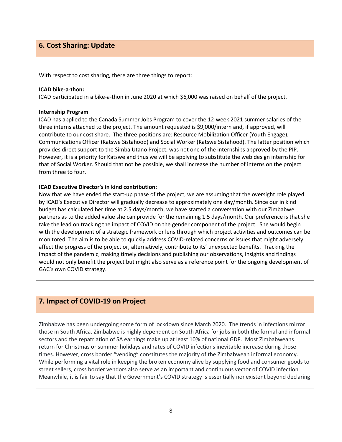## **6. Cost Sharing: Update**

With respect to cost sharing, there are three things to report:

#### **ICAD bike-a-thon:**

ICAD participated in a bike-a-thon in June 2020 at which \$6,000 was raised on behalf of the project.

#### **Internship Program**

ICAD has applied to the Canada Summer Jobs Program to cover the 12-week 2021 summer salaries of the three interns attached to the project. The amount requested is \$9,000/intern and, if approved, will contribute to our cost share. The three positions are: Resource Mobilization Officer (Youth Engage), Communications Officer (Katswe Sistahood) and Social Worker (Katswe Sistahood). The latter position which provides direct support to the Simba Utano Project, was not one of the internships approved by the PIP. However, it is a priority for Katswe and thus we will be applying to substitute the web design internship for that of Social Worker. Should that not be possible, we shall increase the number of interns on the project from three to four.

#### **ICAD Executive Director's in kind contribution:**

Now that we have ended the start-up phase of the project, we are assuming that the oversight role played by ICAD's Executive Director will gradually decrease to approximately one day/month. Since our in kind budget has calculated her time at 2.5 days/month, we have started a conversation with our Zimbabwe partners as to the added value she can provide for the remaining 1.5 days/month. Our preference is that she take the lead on tracking the impact of COVID on the gender component of the project. She would begin with the development of a strategic framework or lens through which project activities and outcomes can be monitored. The aim is to be able to quickly address COVID-related concerns or issues that might adversely affect the progress of the project or, alternatively, contribute to its' unexpected benefits. Tracking the impact of the pandemic, making timely decisions and publishing our observations, insights and findings would not only benefit the project but might also serve as a reference point for the ongoing development of GAC's own COVID strategy.

# **7. Impact of COVID-19 on Project**

Zimbabwe has been undergoing some form of lockdown since March 2020. The trends in infections mirror those in South Africa. Zimbabwe is highly dependent on South Africa for jobs in both the formal and informal sectors and the repatriation of SA earnings make up at least 10% of national GDP. Most Zimbabweans return for Christmas or summer holidays and rates of COVID infections inevitable increase during those times. However, cross border "vending" constitutes the majority of the Zimbabwean informal economy. While performing a vital role in keeping the broken economy alive by supplying food and consumer goods to street sellers, cross border vendors also serve as an important and continuous vector of COVID infection. Meanwhile, it is fair to say that the Government's COVID strategy is essentially nonexistent beyond declaring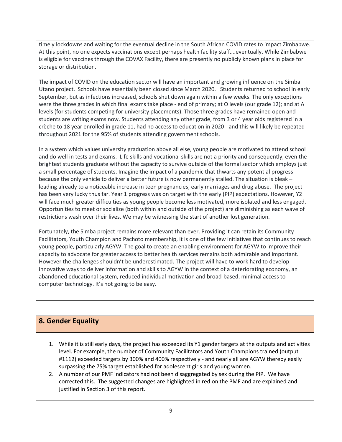timely lockdowns and waiting for the eventual decline in the South African COVID rates to impact Zimbabwe. At this point, no one expects vaccinations except perhaps health facility staff….eventually. While Zimbabwe is eligible for vaccines through the COVAX Facility, there are presently no publicly known plans in place for storage or distribution.

The impact of COVID on the education sector will have an important and growing influence on the Simba Utano project. Schools have essentially been closed since March 2020. Students returned to school in early September, but as infections increased, schools shut down again within a few weeks. The only exceptions were the three grades in which final exams take place - end of primary; at O levels (our grade 12); and at A levels (for students competing for university placements). Those three grades have remained open and students are writing exams now. Students attending any other grade, from 3 or 4 year olds registered in a crèche to 18 year enrolled in grade 11, had no access to education in 2020 - and this will likely be repeated throughout 2021 for the 95% of students attending government schools.

In a system which values university graduation above all else, young people are motivated to attend school and do well in tests and exams. Life skills and vocational skills are not a priority and consequently, even the brightest students graduate without the capacity to survive outside of the formal sector which employs just a small percentage of students. Imagine the impact of a pandemic that thwarts any potential progress because the only vehicle to deliver a better future is now permanently stalled. The situation is bleak – leading already to a noticeable increase in teen pregnancies, early marriages and drug abuse. The project has been very lucky thus far. Year 1 progress was on target with the early (PIP) expectations. However, Y2 will face much greater difficulties as young people become less motivated, more isolated and less engaged. Opportunities to meet or socialize (both within and outside of the project) are diminishing as each wave of restrictions wash over their lives. We may be witnessing the start of another lost generation.

Fortunately, the Simba project remains more relevant than ever. Providing it can retain its Community Facilitators, Youth Champion and Pachoto membership, it is one of the few initiatives that continues to reach young people, particularly AGYW. The goal to create an enabling environment for AGYW to improve their capacity to advocate for greater access to better health services remains both admirable and important. However the challenges shouldn't be underestimated. The project will have to work hard to develop innovative ways to deliver information and skills to AGYW in the context of a deteriorating economy, an abandoned educational system, reduced individual motivation and broad-based, minimal access to computer technology. It's not going to be easy.

# **8. Gender Equality**

- 1. While it is still early days, the project has exceeded its Y1 gender targets at the outputs and activities level. For example, the number of Community Facilitators and Youth Champions trained (output #1112) exceeded targets by 300% and 400% respectively - and nearly all are AGYW thereby easily surpassing the 75% target established for adolescent girls and young women.
- 2. A number of our PMF indicators had not been disaggregated by sex during the PIP. We have corrected this. The suggested changes are highlighted in red on the PMF and are explained and justified in Section 3 of this report.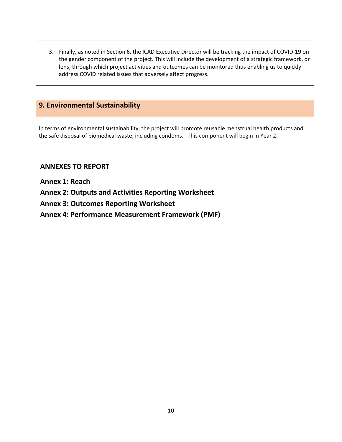3. Finally, as noted in Section 6, the ICAD Executive Director will be tracking the impact of COVID-19 on the gender component of the project. This will include the development of a strategic framework, or lens, through which project activities and outcomes can be monitored thus enabling us to quickly address COVID related issues that adversely affect progress.

# **9. Environmental Sustainability**

In terms of environmental sustainability, the project will promote reusable menstrual health products and the safe disposal of biomedical waste, including condoms. This component will begin in Year 2.

# **ANNEXES TO REPORT**

**Annex 1: Reach**

**Annex 2: Outputs and Activities Reporting Worksheet**

**Annex 3: Outcomes Reporting Worksheet**

**Annex 4: Performance Measurement Framework (PMF)**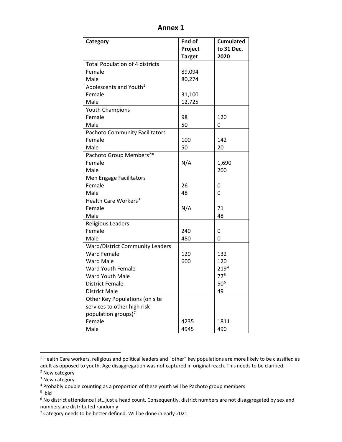| Category                               | End of        | <b>Cumulated</b> |
|----------------------------------------|---------------|------------------|
|                                        | Project       | to 31 Dec.       |
|                                        | <b>Target</b> | 2020             |
| <b>Total Population of 4 districts</b> |               |                  |
| Female                                 | 89,094        |                  |
| Male                                   | 80,274        |                  |
| Adolescents and Youth <sup>1</sup>     |               |                  |
| Female                                 | 31,100        |                  |
| Male                                   | 12,725        |                  |
| <b>Youth Champions</b>                 |               |                  |
| Female                                 | 98            | 120              |
| Male                                   | 50            | 0                |
| <b>Pachoto Community Facilitators</b>  |               |                  |
| Female                                 | 100           | 142              |
| Male                                   | 50            | 20               |
| Pachoto Group Members <sup>2*</sup>    |               |                  |
| Female                                 | N/A           | 1,690            |
| Male                                   |               | 200              |
| Men Engage Facilitators                |               |                  |
| Female                                 | 26            | 0                |
| Male                                   | 48            | 0                |
| Health Care Workers <sup>3</sup>       |               |                  |
| Female                                 | N/A           | 71               |
| Male                                   |               | 48               |
| <b>Religious Leaders</b>               |               |                  |
| Female                                 | 240           | 0                |
| Male                                   | 480           | 0                |
| <b>Ward/District Community Leaders</b> |               |                  |
| <b>Ward Female</b>                     | 120           | 132              |
| <b>Ward Male</b>                       | 600           | 120              |
| Ward Youth Female                      |               | 219 <sup>4</sup> |
| Ward Youth Male                        |               | 77 <sup>5</sup>  |
| <b>District Female</b>                 |               | 50 <sup>6</sup>  |
| <b>District Male</b>                   |               | 49               |
| Other Key Populations (on site         |               |                  |
| services to other high risk            |               |                  |
| population groups) <sup>7</sup>        |               |                  |
| Female                                 | 4235          | 1811             |
| Male                                   | 4945          | 490              |

**Annex 1**

<span id="page-10-0"></span><sup>&</sup>lt;sup>1</sup> Health Care workers, religious and political leaders and "other" key populations are more likely to be classified as adult as opposed to youth. Age disaggregation was not captured in original reach. This needs to be clarified.

<span id="page-10-1"></span><sup>&</sup>lt;sup>2</sup> New category

<span id="page-10-2"></span><sup>&</sup>lt;sup>3</sup> New category

<span id="page-10-3"></span><sup>4</sup> Probably double counting as a proportion of these youth will be Pachoto group members

<span id="page-10-4"></span><sup>5</sup> Ibid

<span id="page-10-5"></span><sup>&</sup>lt;sup>6</sup> No district attendance list...just a head count. Consequently, district numbers are not disaggregated by sex and numbers are distributed randomly

<span id="page-10-6"></span> $7$  Category needs to be better defined. Will be done in early 2021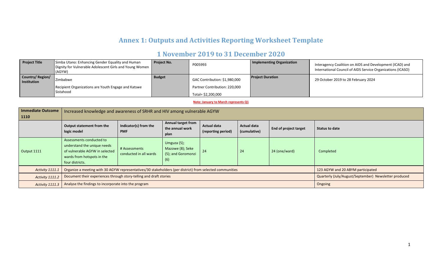# **Annex 1: Outputs and Activities Reporting Worksheet Template**

# **1 November 2019 to 31 December 2020**

| <b>Project Title</b>           | Simba Utano: Enhancing Gender Equality and Human<br>Dignity for Vulnerable Adolescent Girls and Young Women<br>(AGYW) | <b>Project No.</b> | P005993                       | Implementing Organization | Interagency Coalition on AIDS and Development (ICAD) and<br>International Council of AIDS Service Organizations (ICASO) |
|--------------------------------|-----------------------------------------------------------------------------------------------------------------------|--------------------|-------------------------------|---------------------------|-------------------------------------------------------------------------------------------------------------------------|
| Country/Region/<br>Institution | Zimbabwe                                                                                                              | <b>Budget</b>      | GAC Contribution: \$1,980,000 | <b>Project Duration</b>   | 29 October 2019 to 28 February 2024                                                                                     |
|                                | Recipient Organizations are Youth Engage and Katswe                                                                   |                    | Partner Contribution: 220,000 |                           |                                                                                                                         |
|                                | <b>Sistahood</b>                                                                                                      |                    | Total= \$2,200,000            |                           |                                                                                                                         |

#### **Note: January to March represents Q1**

| <b>Immediate Outcome</b><br>1110 | Increased knowledge and awareness of SRHR and HIV among vulnerable AGYW                                                                                                                                                                                                     |                                         |                                                              |    |    |               |                                                       |  |  |
|----------------------------------|-----------------------------------------------------------------------------------------------------------------------------------------------------------------------------------------------------------------------------------------------------------------------------|-----------------------------------------|--------------------------------------------------------------|----|----|---------------|-------------------------------------------------------|--|--|
|                                  | <b>Annual target from</b><br>Indicator(s) from the<br>Output statement from the<br><b>Actual data</b><br><b>Actual data</b><br>End of project target<br>the annual work<br><b>Status to date</b><br>logic model<br><b>PMF</b><br>(reporting period)<br>(cumulative)<br>plan |                                         |                                                              |    |    |               |                                                       |  |  |
| Output 1111                      | Assessments conducted to<br>understand the unique needs<br>of vulnerable AGYW in selected<br>wards from hotspots in the<br>four districts.                                                                                                                                  | # Assessments<br>conducted in all wards | Umguza (5);<br>Mazowe (8); Seke<br>(5); and Goromonzi<br>(6) | 24 | 24 | 24 (one/ward) | Completed                                             |  |  |
| <b>Activity 1111.1</b>           | Organize a meeting with 30 AGYW representatives/30 stakeholders (per district) from selected communities                                                                                                                                                                    |                                         |                                                              |    |    |               | 123 AGYW and 20 ABYM participated                     |  |  |
| Activity 1111.2                  | Document their experiences through story-telling and draft stories                                                                                                                                                                                                          |                                         |                                                              |    |    |               | Quarterly (July/August/September) Newsletter produced |  |  |
| <b>Activity 1111.3</b>           | Analyse the findings to incorporate into the program                                                                                                                                                                                                                        |                                         |                                                              |    |    |               | Ongoing                                               |  |  |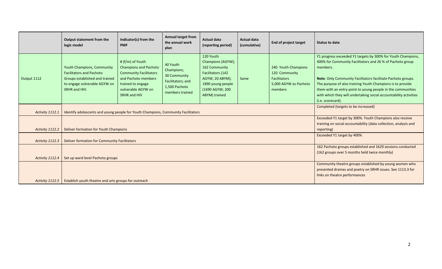|                 | Output statement from the<br>logic model                                                                                                         | Indicator(s) from the<br><b>PMF</b>                                                                                                                                 | Annual target from<br>the annual work<br>plan                                                               | <b>Actual data</b><br>(reporting period)                                                                                                         | <b>Actual data</b><br>(cumulative) | <b>End of project target</b>                                                                    | <b>Status to date</b>                                                                                                                                                                                                                                                                                                                                                                                                        |
|-----------------|--------------------------------------------------------------------------------------------------------------------------------------------------|---------------------------------------------------------------------------------------------------------------------------------------------------------------------|-------------------------------------------------------------------------------------------------------------|--------------------------------------------------------------------------------------------------------------------------------------------------|------------------------------------|-------------------------------------------------------------------------------------------------|------------------------------------------------------------------------------------------------------------------------------------------------------------------------------------------------------------------------------------------------------------------------------------------------------------------------------------------------------------------------------------------------------------------------------|
| Output 1112     | Youth Champions, Community<br><b>Facilitators and Pachoto</b><br>Groups established and trained<br>to engage vulnerable AGYW on<br>SRHR and HIV. | # (f/m) of Youth<br><b>Champions and Pachoto</b><br><b>Community Facilitators</b><br>and Pachoto members<br>trained to engage<br>vulnerable AGYW on<br>SRHR and HIV | 40 Youth<br>Champions;<br>30 Community<br>Facilitators; and<br>1,500 Pachoto<br>members trained             | 120 Youth<br>Champions (AGYW);<br>162 Community<br>Facilitators (142<br>AGYW; 20 ABYM);<br>1890 young people<br>(1690 AGYW; 200<br>ABYM) trained | Same                               | 240 Youth Champions<br>120 Community<br><b>Facilitators</b><br>5,000 AGYW as Pachoto<br>members | Y1 progress exceeded Y1 targets by 300% for Youth Champions,<br>400% for Community Facilitators and 26 % of Pachoto group<br>members.<br>Note: Only Community Facilitators facilitate Pachoto groups.<br>The purpose of also training Youth Champions is to provide<br>them with an entry point to young people in the communities<br>with which they will undertaking social accountability activities<br>(i.e. scorecard). |
| Activity 1112.1 | Identify adolescents and young people for Youth Champions, Community Facilitators                                                                |                                                                                                                                                                     | Completed (targets to be increased)                                                                         |                                                                                                                                                  |                                    |                                                                                                 |                                                                                                                                                                                                                                                                                                                                                                                                                              |
| Activity 1112.2 | Deliver formation for Youth Champions                                                                                                            |                                                                                                                                                                     |                                                                                                             |                                                                                                                                                  |                                    |                                                                                                 | Exceeded Y1 target by 300%. Youth Champions also receive<br>training on social accountability (data collection, analysis and<br>reporting)                                                                                                                                                                                                                                                                                   |
| Activity 1112.3 | Deliver formation for Community Facilitators                                                                                                     |                                                                                                                                                                     |                                                                                                             |                                                                                                                                                  |                                    |                                                                                                 | Exceeded Y1 target by 400%                                                                                                                                                                                                                                                                                                                                                                                                   |
| Activity 1112.4 | Set up ward level Pachoto groups                                                                                                                 |                                                                                                                                                                     | 162 Pachoto groups established and 1629 sessions conducted<br>(162 groups over 5 months held twice monthly) |                                                                                                                                                  |                                    |                                                                                                 |                                                                                                                                                                                                                                                                                                                                                                                                                              |
| Activity 1112.5 | Establish youth theatre and arts groups for outreach                                                                                             |                                                                                                                                                                     |                                                                                                             |                                                                                                                                                  |                                    |                                                                                                 | Community theatre groups established by young women who<br>presented dramas and poetry on SRHR issues. See 1113.3 for<br>links on theatre performances                                                                                                                                                                                                                                                                       |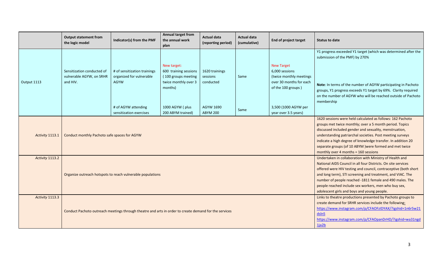|                 | <b>Output statement from</b><br>the logic model                    | Indicator(s) from the PMF                                                                             | Annual target from<br>the annual work<br>plan                                                                                                                                                                                                                                                                                                                                                                                | <b>Actual data</b><br>(reporting period)             | <b>Actual data</b><br>(cumulative) | <b>End of project target</b>                                                                                                            | Status to date                                                                                                                                                                                                |
|-----------------|--------------------------------------------------------------------|-------------------------------------------------------------------------------------------------------|------------------------------------------------------------------------------------------------------------------------------------------------------------------------------------------------------------------------------------------------------------------------------------------------------------------------------------------------------------------------------------------------------------------------------|------------------------------------------------------|------------------------------------|-----------------------------------------------------------------------------------------------------------------------------------------|---------------------------------------------------------------------------------------------------------------------------------------------------------------------------------------------------------------|
|                 |                                                                    |                                                                                                       |                                                                                                                                                                                                                                                                                                                                                                                                                              |                                                      |                                    |                                                                                                                                         | Y1 progress exceeded Y1 target (which was determined after the<br>submission of the PMF) by 270%                                                                                                              |
| Output 1113     | Sensitization conducted of<br>vulnerable AGYW, on SRHR<br>and HIV. | # of sensitization trainings<br>organized for vulnerable<br><b>AGYW</b><br># of AGYW attending        | New target:<br>600 training sessions<br>(100 groups meeting<br>twice monthly over 3<br>months)<br>1000 AGYW (plus                                                                                                                                                                                                                                                                                                            | 1620 trainings<br>sessions<br>conducted<br>AGYW 1690 | Same                               | <b>New Target</b><br>6,000 sessions<br>(twice monthly meetings<br>over 30 months for each<br>of the 100 groups)<br>3,500 (1000 AGYW per | Note: In terms of the number of AGYW participating in Pachoto<br>groups, Y1 progress exceeds Y1 target by 69%. Clarity required<br>on the number of AGYW who will be reached outside of Pachoto<br>membership |
|                 |                                                                    | sensitization exercises                                                                               | 200 ABYM trained)                                                                                                                                                                                                                                                                                                                                                                                                            | <b>ABYM 200</b>                                      | Same                               | year over 3.5 years)                                                                                                                    |                                                                                                                                                                                                               |
| Activity 1113.1 | Conduct monthly Pachoto safe spaces for AGYW                       |                                                                                                       | 1620 sessions were held calculated as follows: 162 Pachoto<br>groups met twice monthly; over a 5 month period. Topics<br>discussed included gender and sexuality, menstruation,<br>understanding patriarchal societies. Post meeting surveys<br>indicate a high degree of knowledge transfer. In addition 20<br>separate groups (of 10 ABYM ) were formed and met twice<br>monthly over 4 months = 160 sessions              |                                                      |                                    |                                                                                                                                         |                                                                                                                                                                                                               |
| Activity 1113.2 |                                                                    | Organize outreach hotspots to reach vulnerable populations                                            | Undertaken in collaboration with Ministry of Health and<br>National AIDS Council in all four Districts. On site services<br>offered were HIV testing and council, contraceptive (both short<br>and long term), STI screening and treatment, and VIAC. The<br>number of people reached -1811 female and 490 males. The<br>people reached include sex workers, men who buy sex,<br>adolescent girls and boys and young people. |                                                      |                                    |                                                                                                                                         |                                                                                                                                                                                                               |
| Activity 1113.3 |                                                                    | Conduct Pachoto outreach meetings through theatre and arts in order to create demand for the services | Links to theatre productions presented by Pachoto groups to<br>create demand for SRHR services include the following:<br>https://www.instagram.com/p/CFAOFzIDYAX/?igshid=1n6r5w21<br>dsln5<br>https://www.instagram.com/p/CFAOpanDrHD/?igshid=wa31ngd<br>1ja2b                                                                                                                                                               |                                                      |                                    |                                                                                                                                         |                                                                                                                                                                                                               |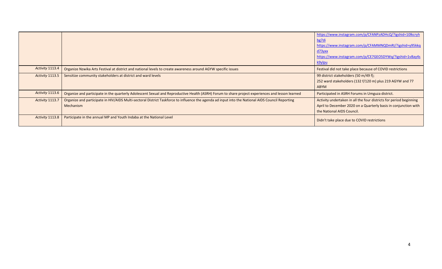|                 |                                                                                                                                                               | https://www.instagram.com/p/CFANPzADHcQ/?igshid=10lkcryh<br>bg7di<br>https://www.instagram.com/p/CFAMMNQDmRI/?igshid=y95kkq<br><u>d73yxx</u><br>https://www.instagram.com/p/CE7GEO5DYWq/?igshid=1v8ay4s<br>k9ylpu |
|-----------------|---------------------------------------------------------------------------------------------------------------------------------------------------------------|-------------------------------------------------------------------------------------------------------------------------------------------------------------------------------------------------------------------|
| Activity 1113.4 | Organize Nzwika Arts Festival at district and national levels to create awareness around AGYW specific issues                                                 | Festival did not take place because of COVID restrictions                                                                                                                                                         |
| Activity 1113.5 | Sensitize community stakeholders at district and ward levels                                                                                                  | 99 district stakeholders (50 m/49 f);<br>252 ward stakeholders (132 f/120 m) plus 219 AGYW and 77<br><b>ABYM</b>                                                                                                  |
| Activity 1113.6 | Organize and participate in the quarterly Adolescent Sexual and Reproductive Health (ASRH) Forum to share project experiences and lesson learned              | Participated in ASRH Forums in Umguza district.                                                                                                                                                                   |
| Activity 1113.7 | Organize and participate in HIV/AIDS Multi-sectoral District Taskforce to influence the agenda ad input into the National AIDS Council Reporting<br>Mechanism | Activity undertaken in all the four districts for period beginning<br>April to December 2020 on a Quarterly basis in conjunction with<br>the National AIDS Council.                                               |
| Activity 1113.8 | Participate in the annual MP and Youth Indaba at the National Level                                                                                           | Didn't take place due to COVID restrictions                                                                                                                                                                       |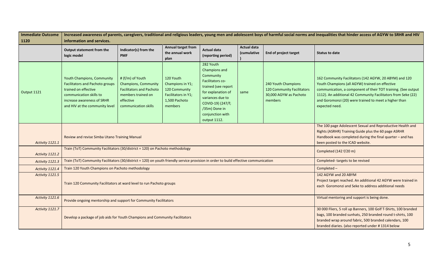| <b>Immediate Outcome</b> | Increased awareness of parents, caregivers, traditional and religious leaders, young men and adolescent boys of harmful social norms and inequalities that hinder access of AGYW to SRHR and HIV |                                                                                                                                               |                                                                                                                                                                                                                                               |                                                                                                                                                                                                        |                                   |                                                                                        |                                                                                                                                                                                                                                                                                                                        |  |  |  |
|--------------------------|--------------------------------------------------------------------------------------------------------------------------------------------------------------------------------------------------|-----------------------------------------------------------------------------------------------------------------------------------------------|-----------------------------------------------------------------------------------------------------------------------------------------------------------------------------------------------------------------------------------------------|--------------------------------------------------------------------------------------------------------------------------------------------------------------------------------------------------------|-----------------------------------|----------------------------------------------------------------------------------------|------------------------------------------------------------------------------------------------------------------------------------------------------------------------------------------------------------------------------------------------------------------------------------------------------------------------|--|--|--|
| 1120                     | information and services.                                                                                                                                                                        |                                                                                                                                               |                                                                                                                                                                                                                                               |                                                                                                                                                                                                        |                                   |                                                                                        |                                                                                                                                                                                                                                                                                                                        |  |  |  |
|                          | Output statement from the<br>logic model                                                                                                                                                         | Indicator(s) from the<br><b>PMF</b>                                                                                                           | <b>Annual target from</b><br>the annual work<br>plan                                                                                                                                                                                          | <b>Actual data</b><br>(reporting period)                                                                                                                                                               | <b>Actual data</b><br>(cumulative | <b>End of project target</b>                                                           | <b>Status to date</b>                                                                                                                                                                                                                                                                                                  |  |  |  |
| Output 1121              | <b>Youth Champions, Community</b><br><b>Facilitators and Pachoto groups</b><br>trained on effective<br>communication skills to<br>increase awareness of SRHR<br>and HIV at the community level   | # (f/m) of Youth<br><b>Champions, Community</b><br><b>Facilitators and Pachoto</b><br>members trained on<br>effective<br>communication skills | 120 Youth<br>Champions in Y1;<br>120 Community<br>Facilitators in Y1;<br>1,500 Pachoto<br>members                                                                                                                                             | 282 Youth<br>Champions and<br>Community<br>Facilitators co-<br>trained (see report<br>for explanation of<br>variances due to<br>COVID-19) (247/f;<br>/35m) Done in<br>conjunction with<br>output 1112. | same                              | 240 Youth Champions<br>120 Community Facilitators<br>30,000 AGYW as Pachoto<br>members | 162 Community Facilitators (142 AGYW, 20 ABYM) and 120<br>Youth Champions (all AGYW) trained on effective<br>communication, a component of their TOT training. (See output<br>1112). An additional 42 Community Facilitators from Seke (22)<br>and Goromonzi (20) were trained to meet a higher than<br>expected need. |  |  |  |
| Activity 1121.1          | Review and revise Simba Utano Training Manual                                                                                                                                                    |                                                                                                                                               | The 100 page Adolescent Sexual and Reproductive Health and<br>Rights (ASRHR) Training Guide plus the 60 page ASRHR<br>Handbook was completed during the final quarter - and has<br>been posted to the ICAD website.                           |                                                                                                                                                                                                        |                                   |                                                                                        |                                                                                                                                                                                                                                                                                                                        |  |  |  |
| Activity 1121.2          | Train (ToT) Community Facilitators (30/district = 120) on Pachoto methodology                                                                                                                    |                                                                                                                                               |                                                                                                                                                                                                                                               |                                                                                                                                                                                                        |                                   |                                                                                        | Completed (142 f/20 m)                                                                                                                                                                                                                                                                                                 |  |  |  |
| Activity 1121.3          | Train (ToT) Community Facilitators (30/district = 120) on youth friendly service provision in order to build effective communication                                                             |                                                                                                                                               |                                                                                                                                                                                                                                               |                                                                                                                                                                                                        |                                   |                                                                                        | Completed-targets to be revised                                                                                                                                                                                                                                                                                        |  |  |  |
| Activity 1121.4          | Train 120 Youth Champions on Pachoto methodology                                                                                                                                                 |                                                                                                                                               |                                                                                                                                                                                                                                               |                                                                                                                                                                                                        |                                   |                                                                                        | Completed -                                                                                                                                                                                                                                                                                                            |  |  |  |
| Activity 1121.5          | Train 120 Community Facilitators at ward level to run Pachoto groups                                                                                                                             |                                                                                                                                               | 142 AGYW and 20 ABYM<br>Project target reached. An additional 42 AGYW were trained in<br>each Goromonzi and Seke to address additional needs                                                                                                  |                                                                                                                                                                                                        |                                   |                                                                                        |                                                                                                                                                                                                                                                                                                                        |  |  |  |
| Activity 1121.6          | Provide ongoing mentorship and support for Community Facilitators                                                                                                                                |                                                                                                                                               | Virtual mentoring and support is being done.                                                                                                                                                                                                  |                                                                                                                                                                                                        |                                   |                                                                                        |                                                                                                                                                                                                                                                                                                                        |  |  |  |
| Activity 1121.7          | Develop a package of job aids for Youth Champions and Community Facilitators                                                                                                                     |                                                                                                                                               | 30 000 Fliers, 5 roll up Banners, 100 Golf T-Shirts, 100 branded<br>bags, 100 branded sunhats, 250 branded round t-shirts, 100<br>branded wrap around fabric, 500 branded calendars, 100<br>branded diaries. (also reported under #1314 below |                                                                                                                                                                                                        |                                   |                                                                                        |                                                                                                                                                                                                                                                                                                                        |  |  |  |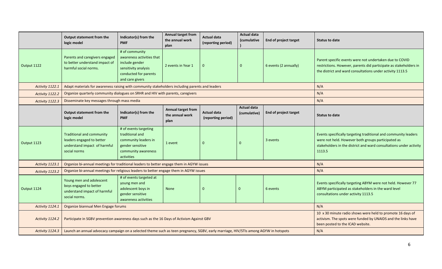|                 | Output statement from the                                                                                                            | Indicator(s) from the                                                                                                                                          | <b>Annual target from</b><br>the annual work  | Actual data                              | <b>Actual data</b><br><i>(cumulative</i> | End of project target | Status to date                                                                                                                                                                                        |
|-----------------|--------------------------------------------------------------------------------------------------------------------------------------|----------------------------------------------------------------------------------------------------------------------------------------------------------------|-----------------------------------------------|------------------------------------------|------------------------------------------|-----------------------|-------------------------------------------------------------------------------------------------------------------------------------------------------------------------------------------------------|
|                 | logic model                                                                                                                          | <b>PMF</b>                                                                                                                                                     | plan                                          | (reporting period)                       |                                          |                       |                                                                                                                                                                                                       |
| Output 1122     | Parents and caregivers engaged<br>to better understand impact of<br>harmful social norms.                                            | # of community<br>awareness activities that<br>include gender<br>sensitivity analysis<br>conducted for parents<br>and care givers                              | 2 events in Year 1                            | $\mathbf 0$                              | $\overline{0}$                           | 6 events (2 annually) | Parent specific events were not undertaken due to COVID<br>restrictions. However, parents did participate as stakeholders in<br>the district and ward consultations under activity 1113.5             |
| Activity 1122.1 | Adapt materials for awareness raising with community stakeholders including parents and leaders                                      |                                                                                                                                                                |                                               |                                          |                                          |                       | N/A                                                                                                                                                                                                   |
| Activity 1122.2 | Organize quarterly community dialogues on SRHR and HIV with parents, caregivers                                                      |                                                                                                                                                                |                                               |                                          |                                          |                       | N/A                                                                                                                                                                                                   |
| Activity 1122.3 | Disseminate key messages through mass media                                                                                          |                                                                                                                                                                |                                               |                                          |                                          |                       | N/A                                                                                                                                                                                                   |
|                 | Output statement from the<br>logic model                                                                                             | Indicator(s) from the<br><b>PMF</b>                                                                                                                            | Annual target from<br>the annual work<br>plan | <b>Actual data</b><br>(reporting period) | <b>Actual data</b><br>(cumulative)       | End of project target | <b>Status to date</b>                                                                                                                                                                                 |
| Output 1123     | <b>Traditional and community</b><br>leaders engaged to better<br>understand impact of harmful<br>social norms                        | # of events targeting<br>traditional and<br>community leaders in<br>gender sensitive<br>community awareness<br>activities                                      | 1 event                                       | $\mathbf 0$                              | $\mathbf{0}$                             | 3 events              | Events specifically targeting traditional and community leaders<br>were not held. However both groups participated as<br>stakeholders in the district and ward consultations under activity<br>1113.5 |
| Activity 1123.1 | Organize bi-annual meetings for traditional leaders to better engage them in AGYW issues                                             |                                                                                                                                                                |                                               |                                          |                                          |                       | N/A                                                                                                                                                                                                   |
| Activity 1123.2 | Organize bi-annual meetings for religious leaders to better engage them in AGYW issues                                               |                                                                                                                                                                |                                               |                                          |                                          |                       | N/A                                                                                                                                                                                                   |
| Output 1124     | Young men and adolescent<br>boys engaged to better<br>understand impact of harmful<br>social norms.                                  | # of events targeted at<br>young men and<br>adolescent boys in<br>gender sensitive<br>awareness activities                                                     | <b>None</b>                                   | $\mathbf 0$                              | $\Omega$                                 | 6 events              | Events specifically targeting ABYM were not held. However 77<br>ABYM participated as stakeholders in the ward level<br>consultations under activity 1113.5                                            |
| Activity 1124.1 | Organize biannual Men Engage forums                                                                                                  |                                                                                                                                                                | N/A                                           |                                          |                                          |                       |                                                                                                                                                                                                       |
| Activity 1124.2 | Participate in SGBV prevention awareness days such as the 16 Days of Activism Against GBV                                            | 10 x 30 minute radio shows were held to promote 16 days of<br>activism. The spots were funded by UNAIDS and the links have<br>been posted to the ICAD website. |                                               |                                          |                                          |                       |                                                                                                                                                                                                       |
| Activity 1124.3 | Launch an annual advocacy campaign on a selected theme such as teen pregnancy, SGBV, early marriage, HIV/STIs among AGYW in hotspots |                                                                                                                                                                | N/A                                           |                                          |                                          |                       |                                                                                                                                                                                                       |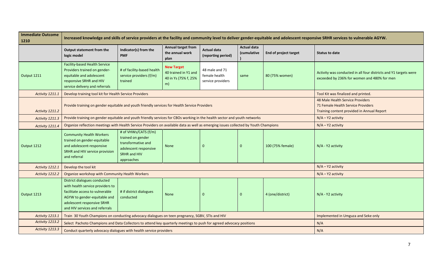| <b>Immediate Outcome</b><br>1210 |                                                                                                                                                                                                     |                                                                                                                        | Increased knowledge and skills of service providers at the facility and community level to deliver gender-equitable and adolescent responsive SRHR services to vulnerable AGYW. |                                                      |                                   |                              |                                                                                                                 |
|----------------------------------|-----------------------------------------------------------------------------------------------------------------------------------------------------------------------------------------------------|------------------------------------------------------------------------------------------------------------------------|---------------------------------------------------------------------------------------------------------------------------------------------------------------------------------|------------------------------------------------------|-----------------------------------|------------------------------|-----------------------------------------------------------------------------------------------------------------|
|                                  | Output statement from the<br>logic model                                                                                                                                                            | Indicator(s) from the<br><b>PMF</b>                                                                                    | Annual target from<br>the annual work<br>plan                                                                                                                                   | <b>Actual data</b><br>(reporting period)             | <b>Actual data</b><br>(cumulative | <b>End of project target</b> | <b>Status to date</b>                                                                                           |
| Output 1211                      | <b>Facility-based Health Service</b><br>Providers trained on gender-<br>equitable and adolescent<br>responsive SRHR and HIV<br>service delivery and referrals                                       | # of facility-based health<br>service providers (f/m)<br>trained                                                       | <b>New Target</b><br>40 trained in Y1 and<br>40 in Ys (75% f, 25%<br>m)                                                                                                         | 48 male and 71<br>female health<br>service providers | same                              | 80 (75% women)               | Activity was conducted in all four districts and Y1 targets were<br>exceeded by 236% for women and 480% for men |
| Activity 1211.1                  | Develop training tool kit for Health Service Providers                                                                                                                                              |                                                                                                                        |                                                                                                                                                                                 |                                                      |                                   |                              | Tool Kit was finalized and printed.                                                                             |
| Activity 1211.2                  | Provide training on gender equitable and youth friendly services for Health Service Providers                                                                                                       |                                                                                                                        | 48 Male Health Service Providers<br>71 Female Health Service Providers<br>Training content provided in Annual Report                                                            |                                                      |                                   |                              |                                                                                                                 |
| Activity 1211.3                  | Provide training on gender equitable and youth friendly services for CBOs working in the health sector and youth networks                                                                           |                                                                                                                        | $N/A - Y2$ activity                                                                                                                                                             |                                                      |                                   |                              |                                                                                                                 |
| Activity 1211.4                  | Organize reflection meetings with Health Service Providers on available data as well as emerging issues collected by Youth Champions                                                                |                                                                                                                        | $N/A - Y2$ activity                                                                                                                                                             |                                                      |                                   |                              |                                                                                                                 |
| Output 1212                      | <b>Community Health Workers</b><br>trained on gender-equitable<br>and adolescent-responsive<br>SRHR and HIV service provision<br>and referral                                                       | # of VHWs/CATS (f/m)<br>trained on gender<br>transformative and<br>adolescent responsive<br>SRHR and HIV<br>approaches | None                                                                                                                                                                            | $\mathbf 0$                                          | $\Omega$                          | 100 (75% female)             | N/A - Y2 activity                                                                                               |
| Activity 1212.1                  | Develop the tool kit                                                                                                                                                                                |                                                                                                                        |                                                                                                                                                                                 |                                                      |                                   |                              | $N/A - Y2$ activity                                                                                             |
| Activity 1212.2                  | Organize workshop with Community Health Workers                                                                                                                                                     |                                                                                                                        |                                                                                                                                                                                 |                                                      |                                   |                              | $N/A - Y2$ activity                                                                                             |
| Output 1213                      | District dialogues conducted<br>with health service providers to<br>facilitate access to vulnerable<br>AGYW to gender-equitable and<br>adolescent responsive SRHR<br>and HIV services and referrals | # if district dialogues<br>conducted                                                                                   | <b>None</b>                                                                                                                                                                     | $\Omega$                                             | $\Omega$                          | 4 (one/district)             | N/A - Y2 activity                                                                                               |
| Activity 1213.1                  | Train 30 Youth Champions on conducting advocacy dialogues on teen pregnancy, SGBV, STIs and HIV                                                                                                     |                                                                                                                        | Implemented in Umguza and Seke only                                                                                                                                             |                                                      |                                   |                              |                                                                                                                 |
| Activity 1213.2                  | Select Pachoto Champions and Data Collectors to attend key quarterly meetings to push for agreed advocacy positions                                                                                 |                                                                                                                        |                                                                                                                                                                                 |                                                      |                                   |                              | N/A                                                                                                             |
| Activity 1213.3                  | Conduct quarterly advocacy dialogues with health service providers                                                                                                                                  |                                                                                                                        | N/A                                                                                                                                                                             |                                                      |                                   |                              |                                                                                                                 |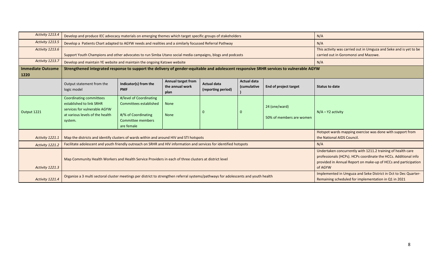| Activity 1213.4                  | Develop and produce IEC advocacy materials on emerging themes which target specific groups of stakeholders                               |                                                                                                             |                                                                                                           | N/A                                                                                                                                                                                                         |                                   |                                           |                                                                                                                        |  |  |  |
|----------------------------------|------------------------------------------------------------------------------------------------------------------------------------------|-------------------------------------------------------------------------------------------------------------|-----------------------------------------------------------------------------------------------------------|-------------------------------------------------------------------------------------------------------------------------------------------------------------------------------------------------------------|-----------------------------------|-------------------------------------------|------------------------------------------------------------------------------------------------------------------------|--|--|--|
| Activity 1213.5                  | Develop a Patients Chart adapted to AGYW needs and realities and a similarly focussed Referral Pathway                                   |                                                                                                             | N/A                                                                                                       |                                                                                                                                                                                                             |                                   |                                           |                                                                                                                        |  |  |  |
| Activity 1213.6                  | Support Youth Champions and other advocates to run Simba Utano social media campaigns, blogs and podcasts                                |                                                                                                             | This activity was carried out in Umguza and Seke and is yet to be<br>carried out in Goromonzi and Mazowe. |                                                                                                                                                                                                             |                                   |                                           |                                                                                                                        |  |  |  |
| Activity 1213.7                  | Develop and maintain YE website and maintain the ongoing Katswe website                                                                  |                                                                                                             | N/A                                                                                                       |                                                                                                                                                                                                             |                                   |                                           |                                                                                                                        |  |  |  |
| <b>Immediate Outcome</b><br>1220 | Strengthened integrated response to support the delivery of gender-equitable and adolescent responsive SRHR services to vulnerable AGYW  |                                                                                                             |                                                                                                           |                                                                                                                                                                                                             |                                   |                                           |                                                                                                                        |  |  |  |
|                                  | Output statement from the<br>logic model                                                                                                 | Indicator(s) from the<br><b>PMF</b>                                                                         | <b>Annual target from</b><br>the annual work<br>plan                                                      | <b>Actual data</b><br>(reporting period)                                                                                                                                                                    | <b>Actual data</b><br>(cumulative | End of project target                     | <b>Status to date</b>                                                                                                  |  |  |  |
| Output 1221                      | <b>Coordinating committees</b><br>established to link SRHR<br>services for vulnerable AGYW<br>at various levels of the health<br>system. | #/level of Coordinating<br>Committees established<br>#/% of Coordinating<br>Committee members<br>are female | <b>None</b><br><b>None</b>                                                                                |                                                                                                                                                                                                             | 0                                 | 24 (one/ward)<br>50% of members are women | $N/A - Y2$ activity                                                                                                    |  |  |  |
| Activity 1221.1                  | Map the districts and identify clusters of wards within and around HIV and STI hotspots                                                  |                                                                                                             |                                                                                                           |                                                                                                                                                                                                             |                                   |                                           | Hotspot wards mapping exercise was done with support from<br>the National AIDS Council.                                |  |  |  |
| Activity 1221.2                  | Facilitate adolescent and youth friendly outreach on SRHR and HIV information and services for identified hotspots                       |                                                                                                             |                                                                                                           |                                                                                                                                                                                                             |                                   |                                           | N/A                                                                                                                    |  |  |  |
| Activity 1221.3                  | Map Community Health Workers and Health Service Providers in each of three clusters at district level                                    |                                                                                                             |                                                                                                           | Undertaken concurrently with 1211.2 training of health care<br>professionals (HCPs). HCPs coordinate the HCCs. Additional info<br>provided in Annual Report on make-up of HCCs and participation<br>of AGYW |                                   |                                           |                                                                                                                        |  |  |  |
| Activity 1221.4                  | Organize a 3 multi sectoral cluster meetings per district to strengthen referral systems/pathways for adolescents and youth health       |                                                                                                             |                                                                                                           |                                                                                                                                                                                                             |                                   |                                           | Implemented in Umguza and Seke District in Oct to Dec Quarter-<br>Remaining scheduled for implementation in Q1 in 2021 |  |  |  |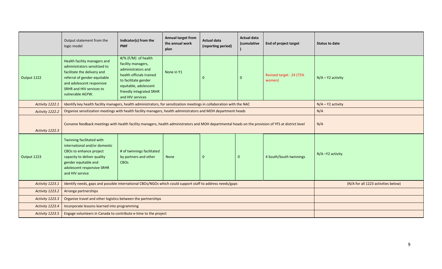|                        | Output statement from the<br>logic model                                                                                                                                                                 | Indicator(s) from the<br><b>PMF</b>                                                                                                                                                          | Annual target from<br>the annual work<br>plan | <b>Actual data</b><br>(reporting period) | <b>Actual data</b><br>(cumulative | <b>End of project target</b>      | Status to date      |
|------------------------|----------------------------------------------------------------------------------------------------------------------------------------------------------------------------------------------------------|----------------------------------------------------------------------------------------------------------------------------------------------------------------------------------------------|-----------------------------------------------|------------------------------------------|-----------------------------------|-----------------------------------|---------------------|
| Output 1222            | Health facility managers and<br>administrators sensitized to<br>facilitate the delivery and<br>referral of gender-equitable<br>and adolescent responsive<br>SRHR and HIV services to<br>vulnerable AGYW. | #/% (F/M) of health<br>facility managers,<br>administrators and<br>health officials trained<br>to facilitate gender<br>equitable, adolescent<br>friendly integrated SRHR<br>and HIV services | None in Y1                                    | $\mathbf 0$                              | $\Omega$                          | Revised target: 24 (75%<br>women) | $N/A - Y2$ activity |
| Activity 1222.1        | Identify key health facility managers, health administrators, for sensitization meetings in collaboration with the NAC                                                                                   |                                                                                                                                                                                              | $N/A - Y2$ activity                           |                                          |                                   |                                   |                     |
| Activity 1222.2        | Organize sensitization meetings with health facility managers, health administrators and MOH department heads                                                                                            |                                                                                                                                                                                              |                                               |                                          |                                   |                                   | N/A                 |
| Activity 1222.3        | Convene feedback meetings with health facility managers, health administrators and MOH departmental heads on the provision of YFS at district level                                                      |                                                                                                                                                                                              | N/A                                           |                                          |                                   |                                   |                     |
| Output 1223            | Twinning facilitated with<br>international and/or domestic<br>CBOs to enhance project<br>capacity to deliver quality<br>gender equitable and<br>adolescent responsive SRHR<br>and HIV service            | # of twinnings facilitated<br>by partners and other<br><b>CBOs</b>                                                                                                                           | N/A-Y2 activity                               |                                          |                                   |                                   |                     |
| <b>Activity 1223.1</b> | Identify needs, gaps and possible international CBOs/NGOs which could support staff to address needs/gaps                                                                                                |                                                                                                                                                                                              | (N/A for all 1223 activities below)           |                                          |                                   |                                   |                     |
| Activity 1223.2        | Arrange partnerships                                                                                                                                                                                     |                                                                                                                                                                                              |                                               |                                          |                                   |                                   |                     |
| Activity 1223.3        | Organize travel and other logistics between the partnerships                                                                                                                                             |                                                                                                                                                                                              |                                               |                                          |                                   |                                   |                     |
| Activity 1223.4        | Incorporate lessons learned into programming                                                                                                                                                             |                                                                                                                                                                                              |                                               |                                          |                                   |                                   |                     |
| Activity 1223.5        | Engage volunteers in Canada to contribute e-time to the project                                                                                                                                          |                                                                                                                                                                                              |                                               |                                          |                                   |                                   |                     |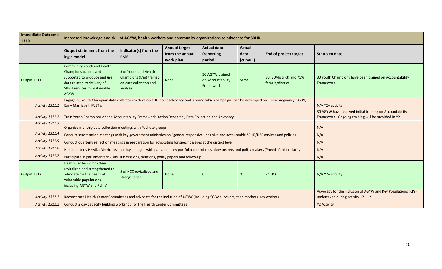| <b>Immediate Outcome</b><br>1310 | Increased knowledge and skill of AGYW, health workers and community organizations to advocate for SRHR.                                                                          |                                                                                        |                                                                                                                 |                                                   |                            |                                             |                                                                     |  |  |
|----------------------------------|----------------------------------------------------------------------------------------------------------------------------------------------------------------------------------|----------------------------------------------------------------------------------------|-----------------------------------------------------------------------------------------------------------------|---------------------------------------------------|----------------------------|---------------------------------------------|---------------------------------------------------------------------|--|--|
|                                  | Output statement from the<br>logic model                                                                                                                                         | Indicator(s) from the<br><b>PMF</b>                                                    | <b>Annual target</b><br>from the annual<br>work plan                                                            | <b>Actual data</b><br>(reporting<br>period)       | Actual<br>data<br>(cumul.) | <b>End of project target</b>                | <b>Status to date</b>                                               |  |  |
| Output 1311                      | <b>Community Youth and Health</b><br>Champions trained and<br>supported to produce and use<br>data related to delivery of<br><b>SHRH services for vulnerable</b><br><b>AGYW</b>  | # of Youth and Health<br>Champions (f/m) trained<br>on data collection and<br>analysis | None                                                                                                            | 30 AGYW trained<br>on Accountability<br>Framework | Same                       | 80 (20/district) and 75%<br>female/district | 30 Youth Champions have been trained on Accountability<br>Framework |  |  |
| Activity 1311.1                  | Engage 30 Youth Champion data collectors to develop a 10-point advocacy tool around which campaigns can be developed on: Teen pregnancy; SGBV,<br><b>Early Marriage HIV/STIs</b> |                                                                                        |                                                                                                                 | $N/A$ Y2+ activity                                |                            |                                             |                                                                     |  |  |
| Activity 1311.2                  | Train Youth Champions on the Accountability Framework, Action Research, Data Collection and Advocacy                                                                             |                                                                                        | 30 AGYW have received initial training on Accountability<br>Framework. Ongoing training will be provided in Y2. |                                                   |                            |                                             |                                                                     |  |  |
| Activity 1311.3                  | Organize monthly data collection meetings with Pachoto groups                                                                                                                    |                                                                                        |                                                                                                                 | N/A                                               |                            |                                             |                                                                     |  |  |
| Activity 1311.4                  | Conduct sensitization meetings with key government ministries on "gender responsive, inclusive and accountable SRHR/HIV services and policies                                    |                                                                                        |                                                                                                                 |                                                   |                            |                                             | N/A                                                                 |  |  |
| Activity 1311.5                  | Conduct quarterly reflection meetings in preparation for advocating for specific issues at the district level                                                                    |                                                                                        |                                                                                                                 |                                                   |                            |                                             | N/A                                                                 |  |  |
| Activity 1311.6                  | Hold quarterly Nzwika District level policy dialogue with parliamentary portfolio committees, duty bearers and policy makers (?needs further clarity)                            |                                                                                        |                                                                                                                 |                                                   |                            |                                             | N/A                                                                 |  |  |
| Activity 1311.7                  | Participate in parliamentary visits, submissions, petitions, policy papers and follow-up                                                                                         |                                                                                        |                                                                                                                 |                                                   |                            |                                             | N/A                                                                 |  |  |
| Output 1312                      | <b>Health Center Committees</b><br>revitalized and strengthened to<br>advocate for the needs of<br>vulnerable populations<br>including AGYW and PLHIV                            | # of HCC revitalized and<br>strengthened                                               | None                                                                                                            |                                                   | $\Omega$                   | 24 HCC                                      | $N/A$ Y2+ activity                                                  |  |  |
| Activity 1312.1                  | Reconstitute Health Center Committees and advocate for the inclusion of AGYW (including SGBV survivors, teen mothers, sex workers                                                |                                                                                        | Advocacy for the inclusion of AGYW and Key Populations (KPs)<br>undertaken during activity 1211.2               |                                                   |                            |                                             |                                                                     |  |  |
| Activity 1312.2                  | Conduct 2 day capacity building workshop for the Health Center Committees                                                                                                        |                                                                                        |                                                                                                                 |                                                   |                            |                                             | Y2 Activity                                                         |  |  |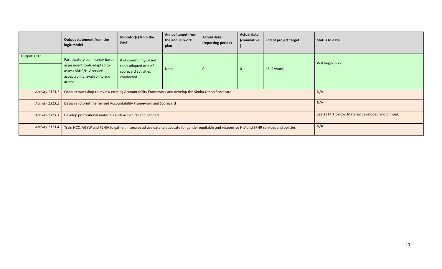|                 | Output statement from the<br>logic model                                                                                                      | Indicator(s) from the<br><b>PMF</b>                                                | Annual target from<br>the annual work<br>plan | <b>Actual data</b><br>(reporting period)          | <b>Actual data</b><br>(cumulative | <b>End of project target</b> | Status to date   |
|-----------------|-----------------------------------------------------------------------------------------------------------------------------------------------|------------------------------------------------------------------------------------|-----------------------------------------------|---------------------------------------------------|-----------------------------------|------------------------------|------------------|
| Output 1313     | Participatory community-based<br>assessment tools adapted to<br>assess SRHR/HIV service<br>acceptability, availability and<br>access          | # of community-based<br>tools adapted or # of<br>scorecard activities<br>conducted | None                                          |                                                   | 0                                 | 48 (2/ward)                  | Will begin in Y2 |
| Activity 1313.1 | Conduct workshop to review existing Accountability Framework and develop the Simba Utano Scorecard                                            |                                                                                    |                                               |                                                   |                                   |                              | N/A              |
| Activity 1313.2 | Design and print the revised Accountability Framework and Scorecard                                                                           |                                                                                    |                                               |                                                   |                                   |                              | N/A              |
| Activity 1313.3 | Develop promotional materials such as t-shirts and banners                                                                                    |                                                                                    |                                               | See 1314.1 below. Material developed and printed. |                                   |                              |                  |
| Activity 1313.4 | Train HCC, AGYW and PLHIV to gather, interpret ad use data to advocate for gender equitable and responsive HIV and SRHR services and policies |                                                                                    |                                               |                                                   |                                   |                              | N/A              |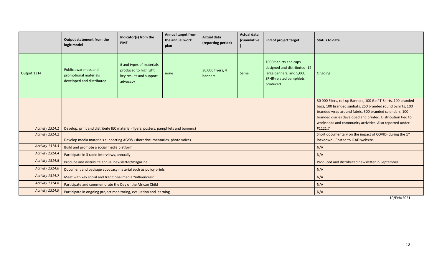|                 | Output statement from the<br>logic model                                            | Indicator(s) from the<br><b>PMF</b>                                                      | <b>Annual target from</b><br>the annual work<br>plan | <b>Actual data</b><br>(reporting period)                                                                                                                                                                                                                                                                                    | <b>Actual data</b><br>(cumulative | <b>End of project target</b>                                                                                                    | <b>Status to date</b>                                                                          |  |
|-----------------|-------------------------------------------------------------------------------------|------------------------------------------------------------------------------------------|------------------------------------------------------|-----------------------------------------------------------------------------------------------------------------------------------------------------------------------------------------------------------------------------------------------------------------------------------------------------------------------------|-----------------------------------|---------------------------------------------------------------------------------------------------------------------------------|------------------------------------------------------------------------------------------------|--|
| Output 1314     | <b>Public awareness and</b><br>promotional materials<br>developed and distributed   | # and types of materials<br>produced to highlight<br>key results and support<br>advocacy | none                                                 | 30,000 flyers, 4<br>banners                                                                                                                                                                                                                                                                                                 | Same                              | 1000 t-shirts and caps<br>designed and distributed; 12<br>large banners; and 5,000<br><b>SRHR-related pamphlets</b><br>produced | Ongoing                                                                                        |  |
| Activity 1314.1 | Develop, print and distribute IEC material (flyers, posters, pamphlets and banners) |                                                                                          |                                                      | 30 000 Fliers, roll up Banners, 100 Golf T-Shirts, 100 branded<br>bags, 100 branded sunhats, 250 branded round t-shirts, 100<br>branded wrap around fabric, 500 branded calendars, 100<br>branded diaries developed and printed. Distribution tied to<br>workshops and community activities. Also reported under<br>#1121.7 |                                   |                                                                                                                                 |                                                                                                |  |
| Activity 1314.2 | Develop media materials supporting AGYW (short documentaries, photo voice)          |                                                                                          |                                                      |                                                                                                                                                                                                                                                                                                                             |                                   |                                                                                                                                 | Short documentary on the impact of COVID (during the 1st<br>lockdown). Posted to ICAD website. |  |
| Activity 1314.3 | Build and promote a social media platform                                           |                                                                                          |                                                      |                                                                                                                                                                                                                                                                                                                             |                                   |                                                                                                                                 | N/A                                                                                            |  |
| Activity 1314.4 | Participate in 3 radio interviews, annually                                         |                                                                                          |                                                      |                                                                                                                                                                                                                                                                                                                             |                                   |                                                                                                                                 | N/A                                                                                            |  |
| Activity 1314.5 | Produce and distribute annual newsletter/magazine                                   |                                                                                          |                                                      |                                                                                                                                                                                                                                                                                                                             |                                   |                                                                                                                                 | Produced and distributed newsletter in September                                               |  |
| Activity 1314.6 | Document and package advocacy material such as policy briefs                        |                                                                                          |                                                      |                                                                                                                                                                                                                                                                                                                             |                                   |                                                                                                                                 | N/A                                                                                            |  |
| Activity 1314.7 | Meet with key social and traditional media "influencers"                            |                                                                                          |                                                      |                                                                                                                                                                                                                                                                                                                             |                                   |                                                                                                                                 | N/A                                                                                            |  |
| Activity 1314.8 | Participate and commemorate the Day of the African Child                            |                                                                                          |                                                      |                                                                                                                                                                                                                                                                                                                             |                                   |                                                                                                                                 | N/A                                                                                            |  |
| Activity 1314.9 | Participate in ongoing project monitoring, evaluation and learning                  |                                                                                          |                                                      |                                                                                                                                                                                                                                                                                                                             |                                   |                                                                                                                                 | N/A                                                                                            |  |

10/Feb/2021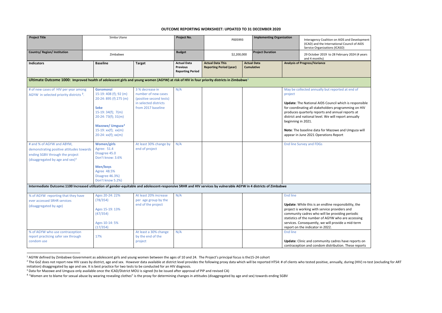#### <span id="page-23-3"></span><span id="page-23-2"></span><span id="page-23-1"></span><span id="page-23-0"></span>**OUTCOME REPORTING WORKSHEET: UPDATED TO 31 DECEMBER 2020**

| <b>Project Title</b>                                                                                                                                              | Simba Utano                                                                                                                                                                                                         |                                                                                                                  | Project No.                                                      | P005993                                                   |  | <b>Implementing Organization</b>        |                                    | Interagency Coalition on AIDS and Development<br>(ICAD) and the International Council of AIDS<br>Service Organizations (ICASO)                                                                                                                                                                                                                                                |
|-------------------------------------------------------------------------------------------------------------------------------------------------------------------|---------------------------------------------------------------------------------------------------------------------------------------------------------------------------------------------------------------------|------------------------------------------------------------------------------------------------------------------|------------------------------------------------------------------|-----------------------------------------------------------|--|-----------------------------------------|------------------------------------|-------------------------------------------------------------------------------------------------------------------------------------------------------------------------------------------------------------------------------------------------------------------------------------------------------------------------------------------------------------------------------|
| Country/ Region/ Institution                                                                                                                                      | Zimbabwe                                                                                                                                                                                                            |                                                                                                                  | <b>Budget</b>                                                    | \$2,200,000                                               |  | <b>Project Duration</b>                 |                                    | 29 October 2019 to 28 February 2024 (4 years<br>and 4 months)                                                                                                                                                                                                                                                                                                                 |
| <b>Indicators</b>                                                                                                                                                 | <b>Baseline</b>                                                                                                                                                                                                     | <b>Target</b>                                                                                                    | <b>Actual Data</b><br><b>Previous</b><br><b>Reporting Period</b> | <b>Actual Data This</b><br><b>Reporting Period (year)</b> |  | <b>Actual Data</b><br><b>Cumulative</b> |                                    | <b>Analysis of Progress/Variance</b>                                                                                                                                                                                                                                                                                                                                          |
| Ultimate Outcome 1000: Improved health of adolescent girls and young women (AGYW) at risk of HIV in four priority districts in Zimbabwe <sup>1</sup>              |                                                                                                                                                                                                                     |                                                                                                                  |                                                                  |                                                           |  |                                         |                                    |                                                                                                                                                                                                                                                                                                                                                                               |
| # of new cases of HIV per year among<br>AGYW in selected priority districts <sup>2</sup> .                                                                        | <b>Goromonzi</b><br>15-19: 408 (f); 92 (m)<br>20-24: 895 (f) 275 (m)<br><b>Seke</b><br>$15-19:34(f); 7(m)$<br>$20-24:73(f); 31(m)$<br>Mazowe/ Umguza <sup>3</sup><br>$15-19: xx(f); xx(m)$<br>$20-24: xx(f); xx(m)$ | 3 % decrease in<br>number of new cases<br>(positive second tests)<br>in selected districts<br>from 2017 baseline | N/A                                                              |                                                           |  |                                         | project<br>beginning in 2021.      | May be collected annually but reported at end of<br>Update: The National AIDS Council which is responsible<br>for coordinating all stakeholders programming on HIV<br>produces quarterly reports and annual reports at<br>district and national level. We will report annually<br>Note: The baseline data for Mazowe and Umguza will<br>appear in June 2021 Operations Report |
| # and % of AGYW and ABYM,<br>demonstrating positive attitudes towards<br>ending SGBV through the project<br>(disaggregated by age and sex) $4$                    | <b>Women/girls</b><br>Agree: 51.4<br>Disagree 45.0<br>Don't know: 3.6%<br>Men/boys<br>Agree 48.5%<br>Disagree 46.3%)<br>Don't know 5.2%)                                                                            | At least 30% change by<br>end of project                                                                         | N/A                                                              |                                                           |  |                                         |                                    | <b>End line Survey and FDGs</b>                                                                                                                                                                                                                                                                                                                                               |
| Intermediate Outcome:1100 Increased utilization of gender-equitable and adolescent-responsive SRHR and HIV services by vulnerable AGYW in 4 districts of Zimbabwe |                                                                                                                                                                                                                     |                                                                                                                  |                                                                  |                                                           |  |                                         |                                    |                                                                                                                                                                                                                                                                                                                                                                               |
| % of AGYW reporting that they have<br>ever accessed SRHR services<br>(disaggregated by age)<br>% of AGYW who use contraception                                    | Ages 20-24: 22%<br>(78/354)<br>Ages 15-19: 13%<br>(47/354)<br>Ages 10-14: 5%<br>(17/354)                                                                                                                            | At least 20% increase<br>per age group by the<br>end of the project<br>At least a 30% change                     | N/A<br>N/A                                                       |                                                           |  |                                         | <b>End line</b><br><b>End line</b> | Update: While this is an endline responsibility, the<br>project is working with service providers and<br>community cadres who will be providing periodic<br>statistics of the number of AGYW who are accessing<br>services. Consequently, we will provide a mid-term<br>report on the indicator in 2022.                                                                      |
| report practicing safer sex through<br>condom use                                                                                                                 | 17%                                                                                                                                                                                                                 | by the end of the<br>project                                                                                     |                                                                  |                                                           |  |                                         |                                    | Update: Clinic and community cadres have reports on<br>contraception and condom distribution. These reports                                                                                                                                                                                                                                                                   |

<sup>&</sup>lt;sup>1</sup> AGYW defined by Zimbabwe Government as adolescent girls and young women between the ages of 10 and 24. The Project's principal focus is the15-24 cohort

<sup>&</sup>lt;sup>2</sup> The GoZ does not report new HIV cases by district, age and sex. However data available at district level provides the following proxy data which will be reported HTS4: # of clients who tested positive, annually, during initiation) disaggregated by age and sex. It is best practice for two tests to be conducted for an HIV diagnosis.<br><sup>3</sup> Data for Mazowe and Umguza only available once the ICAD/District MOU is signed (to be issued after appro

<sup>&</sup>lt;sup>4</sup> "Women are to blame for sexual abuse by wearing revealing clothes" is the proxy for determining changes in attitudes (disaggregated by age and sex) towards ending SGBV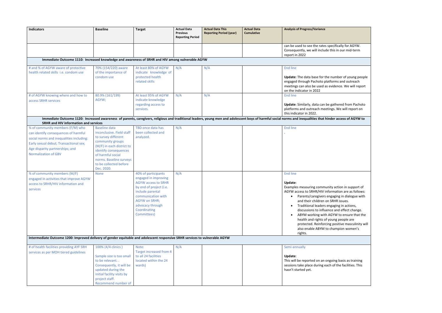| <b>Indicators</b>                                                                                                                                                                                                                                                                                                                                             | <b>Baseline</b>                                                                                                                                                                                                                                           | <b>Target</b>                                                                                                                                                                                                                                      | <b>Actual Data</b><br><b>Previous</b><br><b>Reporting Period</b> | <b>Actual Data This</b><br><b>Reporting Period (year)</b> | <b>Actual Data</b><br><b>Cumulative</b> | <b>Analysis of Progress/Variance</b>                                                                                                                                                                                                                                                                     |
|---------------------------------------------------------------------------------------------------------------------------------------------------------------------------------------------------------------------------------------------------------------------------------------------------------------------------------------------------------------|-----------------------------------------------------------------------------------------------------------------------------------------------------------------------------------------------------------------------------------------------------------|----------------------------------------------------------------------------------------------------------------------------------------------------------------------------------------------------------------------------------------------------|------------------------------------------------------------------|-----------------------------------------------------------|-----------------------------------------|----------------------------------------------------------------------------------------------------------------------------------------------------------------------------------------------------------------------------------------------------------------------------------------------------------|
|                                                                                                                                                                                                                                                                                                                                                               |                                                                                                                                                                                                                                                           |                                                                                                                                                                                                                                                    |                                                                  |                                                           |                                         | can be used to see the rates specifically for AGYW.<br>Consequently, we will include this in our mid-term<br>report in 2022                                                                                                                                                                              |
| Immediate Outcome 1110: Increased knowledge and awareness of SRHR and HIV among vulnerable AGYW                                                                                                                                                                                                                                                               |                                                                                                                                                                                                                                                           |                                                                                                                                                                                                                                                    |                                                                  |                                                           |                                         |                                                                                                                                                                                                                                                                                                          |
| # and % of AGYW aware of protective<br>health related skills i.e. condom use                                                                                                                                                                                                                                                                                  | 70% (154/220) aware<br>of the importance of<br>condom use                                                                                                                                                                                                 | At least 80% of AGYW<br>indicate knowledge of<br>protected health<br>related skills                                                                                                                                                                | N/A                                                              | N/A                                                       |                                         | <b>End line</b><br>Update: The data base for the number of young people<br>engaged through Pachoto platforms and outreach<br>meetings can also be used as evidence. We will report<br>on the indicator in 2022                                                                                           |
| # of AGYW knowing where and how to<br>access SRHR services                                                                                                                                                                                                                                                                                                    | 80.9% (161/199)<br>AGYW;                                                                                                                                                                                                                                  | At least 95% of AGYW<br>indicate knowledge<br>regarding access to<br>services.                                                                                                                                                                     | N/A                                                              | N/A                                                       |                                         | <b>End line</b><br>Update: Similarly, data can be gathered from Pachoto<br>platforms and outreach meetings. We will report on<br>this indicator in 2022.                                                                                                                                                 |
| <b>SRHR and HIV information and services</b>                                                                                                                                                                                                                                                                                                                  |                                                                                                                                                                                                                                                           |                                                                                                                                                                                                                                                    |                                                                  |                                                           |                                         | Immediate Outcome 1120: Increased awareness of parents, caregivers, religious and traditional leaders, young men and adolescent boys of harmful social norms and inequalities that hinder access of AGYW to                                                                                              |
| % of community members (F/M) who<br>can identify consequences of harmful<br>social norms and inequalities including:<br>Early sexual debut; Transactional sex;<br>Age disparity partnerships; and<br><b>Normalization of GBV</b><br>% of community members (M/F)<br>engaged in activities that improve AGYW<br>access to SRHR/HIV information and<br>services | <b>Baseline data</b><br>inconclusive. Field staff<br>to survey different<br>community groups<br>(M/F) in each district to<br>identify consequences<br>of harmful social<br>norms. Baseline surveys<br>to be collected before<br>Dec. 2020.<br><b>None</b> | TBD once data has<br>been collected and<br>analyzed.<br>40% of participants<br>engaged in improving<br><b>AGYW</b> access to SRHR<br>by end of project (i.e.<br>include parental<br>communication with<br><b>AGYW on SRHR;</b><br>advocacy through | N/A<br>N/A                                                       |                                                           |                                         | <b>End line</b><br><b>End line</b><br>Update:<br>Examples measuring community action in support of<br>AGYW access to SRHR/HIV information are as follows:<br>Parents/caregivers engaging in dialogue with<br>and their children on SRHR issues.<br>Traditional leaders engaging in actions,<br>$\bullet$ |
|                                                                                                                                                                                                                                                                                                                                                               |                                                                                                                                                                                                                                                           | Coordinating<br>Committees)                                                                                                                                                                                                                        |                                                                  |                                                           |                                         | discussions to influence and effect change.<br>ABYM working with AGYW to ensure that the<br>health and rights of young people are<br>protected. Reinforcing positive masculinity will<br>also enable ABYM to champion women's<br>rights.                                                                 |
| Intermediate Outcome 1200: Improved delivery of gender equitable and adolescent responsive SRHR services to vulnerable AGYW                                                                                                                                                                                                                                   |                                                                                                                                                                                                                                                           |                                                                                                                                                                                                                                                    |                                                                  |                                                           |                                         |                                                                                                                                                                                                                                                                                                          |
| # of health facilities providing AYF SRH<br>services as per MOH tiered guidelines                                                                                                                                                                                                                                                                             | 100% (4/4 clinics)<br>Sample size is too small<br>to be relevant<br>Consequently, it will be<br>updated during the<br>initial facility visits by<br>project staff.<br>Recommend number of                                                                 | Note:<br>Target increased from 4<br>to all 24 facilities<br>located within the 24<br>wards)                                                                                                                                                        | N/A                                                              |                                                           |                                         | Semi-annually<br>Update:<br>This will be reported on an ongoing basis as training<br>sessions take place during each of the facilities. This<br>hasn't started yet.                                                                                                                                      |

| cifically for AGYW.<br>is in our mid-term                                                                                                                                                                                          |  |
|------------------------------------------------------------------------------------------------------------------------------------------------------------------------------------------------------------------------------------|--|
|                                                                                                                                                                                                                                    |  |
| umber of young people<br>rms and outreach<br>dence. We will report                                                                                                                                                                 |  |
| athered from Pachoto<br>s. We will report on                                                                                                                                                                                       |  |
| er access of AGYW to                                                                                                                                                                                                               |  |
|                                                                                                                                                                                                                                    |  |
| action in support of<br>nation are as follows:<br>aging in dialogue with<br><b>HR</b> issues.<br>aging in actions,<br>and effect change.<br>YW to ensure that the<br>ing people are<br>positive masculinity will<br>ampion women's |  |
|                                                                                                                                                                                                                                    |  |
| ing basis as training<br>of the facilities. This                                                                                                                                                                                   |  |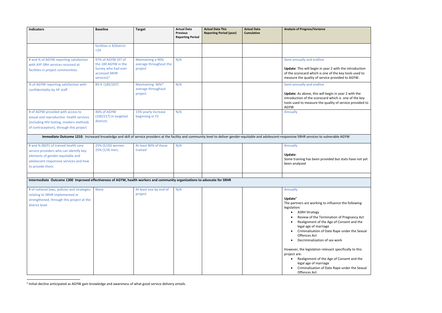<span id="page-25-0"></span>

| <b>Indicators</b>                                                                                                                                                                | <b>Baseline</b>                                                                                             | <b>Target</b>                                          | <b>Actual Data</b><br><b>Previous</b><br><b>Reporting Period</b> | <b>Actual Data This</b><br><b>Reporting Period (year)</b> | <b>Actual Data</b><br><b>Cumulative</b> | <b>Analysis of Progress/Variance</b>                                                                                                                                                                                                                                                                                                                                                                                                                                                                                                                      |
|----------------------------------------------------------------------------------------------------------------------------------------------------------------------------------|-------------------------------------------------------------------------------------------------------------|--------------------------------------------------------|------------------------------------------------------------------|-----------------------------------------------------------|-----------------------------------------|-----------------------------------------------------------------------------------------------------------------------------------------------------------------------------------------------------------------------------------------------------------------------------------------------------------------------------------------------------------------------------------------------------------------------------------------------------------------------------------------------------------------------------------------------------------|
|                                                                                                                                                                                  | facilities is 4/district<br>$= 24$                                                                          |                                                        |                                                                  |                                                           |                                         |                                                                                                                                                                                                                                                                                                                                                                                                                                                                                                                                                           |
| # and % of AGYW reporting satisfaction<br>with AYF-SRH services received at<br>facilities in project communities.                                                                | 97% of AGYW (97 of<br>the 100 AGYW in the<br>Survey who had ever<br>accessed SRHR<br>services) <sup>5</sup> | Maintaining a 90%<br>average throughout the<br>project | N/A                                                              |                                                           |                                         | Semi-annually and endline<br>Update: This will begin in year 2 with the introduction<br>of the scorecard which is one of the key tools used to<br>measure the quality of service provided to AGYW.                                                                                                                                                                                                                                                                                                                                                        |
| % of AGYW reporting satisfaction with<br>confidentiality by HF staff                                                                                                             | 89.4 (185/207)                                                                                              | Maintaining 90%*<br>average throughout<br>project      | N/A                                                              |                                                           |                                         | Semi-annually and endline<br>Update: As above, this will begin in year 2 with the<br>introduction of the scorecard which is one of the key<br>tools used to measure the quality of service provided to<br>AGYW                                                                                                                                                                                                                                                                                                                                            |
| # of AGYW provided with access to<br>sexual and reproductive health services<br>(including HIV testing, modern methods<br>of contraception), through this project                | 46% of AGYW<br>$(100/217)$ in targeted<br>districts                                                         | 15% yearly increase<br>beginning in Y2                 | N/A                                                              |                                                           |                                         | Annually                                                                                                                                                                                                                                                                                                                                                                                                                                                                                                                                                  |
|                                                                                                                                                                                  |                                                                                                             |                                                        |                                                                  |                                                           |                                         | Immediate Outcome 1210: Increased knowledge and skill of service providers at the facility and community level to deliver gender-equitable and adolescent-responsive SRHR services to vulnerable AGYW                                                                                                                                                                                                                                                                                                                                                     |
| # and % (M/F) of trained health care<br>service providers who can identify key<br>elements of gender-equitable and<br>adolescent responsive services and how<br>to provide them. | 25% (5/20) women<br>25% (1/4) men;                                                                          | At least 80% of those<br>trained                       | N/A                                                              |                                                           |                                         | Annually<br>Update:<br>Some training has been provided but stats have not yet<br>been analysed                                                                                                                                                                                                                                                                                                                                                                                                                                                            |
| Intermediate Outcome 1300 Improved effectiveness of AGYW, health workers and community organizations to advocate for SRHR                                                        |                                                                                                             |                                                        |                                                                  |                                                           |                                         |                                                                                                                                                                                                                                                                                                                                                                                                                                                                                                                                                           |
| # of national laws, policies and strategies None<br>relating to SRHR implemented or<br>strengthened, through this project at the<br>district level                               |                                                                                                             | At least one by end of N/A<br>project                  |                                                                  |                                                           |                                         | Annually<br>Update"<br>The partners are working to influence the following<br>legislation:<br><b>ASRH Strategy</b><br>Review of the Termination of Pregnancy Act<br>Realignment of the Age of Consent and the<br>legal age of marriage<br>Criminalisation of Date Rape under the Sexual<br>Offences Act<br>Decriminalization of sex work<br>However, the legislation relevant specifically to this<br>project are:<br>Realignment of the Age of Consent and the<br>legal age of marriage<br>Criminalisation of Date Rape under the Sexual<br>Offences Act |

 <sup>5</sup> Initial decline anticipated as AGYW gain knowledge and awareness of what good service delivery entails.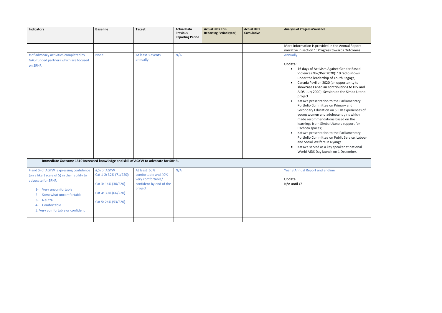| <b>Indicators</b>                                                                                                                                                                                                                               | <b>Baseline</b>                                                                                           | <b>Target</b>                                                                                  | <b>Actual Data</b><br><b>Previous</b><br><b>Reporting Period</b> | <b>Actual Data This</b><br><b>Reporting Period (year)</b> | <b>Actual Data</b><br><b>Cumulative</b> | <b>Analysis of Progress/Variance</b>                                                                                                                                                                                                                                                                                                                                                                                                                                                                                                                                                                                                                                                                                                                                                                                                                                                                                           |
|-------------------------------------------------------------------------------------------------------------------------------------------------------------------------------------------------------------------------------------------------|-----------------------------------------------------------------------------------------------------------|------------------------------------------------------------------------------------------------|------------------------------------------------------------------|-----------------------------------------------------------|-----------------------------------------|--------------------------------------------------------------------------------------------------------------------------------------------------------------------------------------------------------------------------------------------------------------------------------------------------------------------------------------------------------------------------------------------------------------------------------------------------------------------------------------------------------------------------------------------------------------------------------------------------------------------------------------------------------------------------------------------------------------------------------------------------------------------------------------------------------------------------------------------------------------------------------------------------------------------------------|
|                                                                                                                                                                                                                                                 |                                                                                                           |                                                                                                |                                                                  |                                                           |                                         | More information is provided in the Annual Report                                                                                                                                                                                                                                                                                                                                                                                                                                                                                                                                                                                                                                                                                                                                                                                                                                                                              |
| # of advocacy activities completed by<br>GAC-funded partners which are focused<br>on SRHR                                                                                                                                                       | None                                                                                                      | At least 3 events<br>annually                                                                  | N/A                                                              |                                                           |                                         | narrative in section 1: Progress towards Outcomes<br>Annually<br>Update:<br>16 days of Activism Against Gender Based<br>$\bullet$<br>Violence (Nov/Dec 2020): 10 radio shows<br>under the leadership of Youth Engage;<br>Canada Pavilion 2020 (an opportunity to<br>$\bullet$<br>showcase Canadian contributions to HIV and<br>AIDS, July 2020): Session on the Simba Utano<br>project<br>Katswe presentation to the Parliamentary<br>$\bullet$<br>Portfolio Committee on Primary and<br>Secondary Education on SRHR experiences of<br>young women and adolescent girls which<br>made recommendations based on the<br>learnings from Simba Utano's support for<br>Pachoto spaces;<br>Katswe presentation to the Parliamentary<br>$\bullet$<br>Portfolio Committee on Public Service, Labou<br>and Social Welfare in Nyanga:<br>Katswe served as a key speaker at national<br>$\bullet$<br>World AIDS Day launch on 1 December. |
| Immediate Outcome 1310 Increased knowledge and skill of AGYW to advocate for SRHR.                                                                                                                                                              |                                                                                                           |                                                                                                |                                                                  |                                                           |                                         |                                                                                                                                                                                                                                                                                                                                                                                                                                                                                                                                                                                                                                                                                                                                                                                                                                                                                                                                |
| # and % of AGYW expressing confidence<br>(on a likert scale of 5) in their ability to<br>advocate for SRHR<br>1- Very uncomfortable<br>Somewhat uncomfortable<br>$2 -$<br>$3-$<br>Neutral<br>4- Comfortable<br>5. Very comfortable or confident | #,% of AGYW<br>Cat 1-2: 32% (71/220):<br>Cat 3: 14% (30/220)<br>Cat 4:30% (66/220)<br>Cat 5: 24% (53/220) | At least 60%<br>comfortable and 40%<br>very comfortable/<br>confident by end of the<br>project | N/A                                                              |                                                           |                                         | Year 3 Annual Report and endline<br>Update<br>N/A until Y3                                                                                                                                                                                                                                                                                                                                                                                                                                                                                                                                                                                                                                                                                                                                                                                                                                                                     |
|                                                                                                                                                                                                                                                 |                                                                                                           |                                                                                                |                                                                  |                                                           |                                         |                                                                                                                                                                                                                                                                                                                                                                                                                                                                                                                                                                                                                                                                                                                                                                                                                                                                                                                                |

| he Annual Report |  |
|------------------|--|
| wards Outcomes   |  |

the Parliamentary n Public Service, Labour lyanga: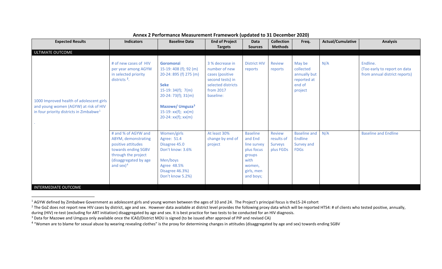| <b>Expected Results</b>                                                                                                                     | <b>Indicators</b>                                                                                                                                       | <b>Baseline Data</b>                                                                                                                                                                                               | <b>End of Project</b><br><b>Targets</b>                                                                                 | Data<br><b>Sources</b>                                                                                         | <b>Collection</b><br><b>Methods</b>                 | Freq.                                                                   | <b>Actual/Cumulative</b> | <b>Analysis</b>                                                           |
|---------------------------------------------------------------------------------------------------------------------------------------------|---------------------------------------------------------------------------------------------------------------------------------------------------------|--------------------------------------------------------------------------------------------------------------------------------------------------------------------------------------------------------------------|-------------------------------------------------------------------------------------------------------------------------|----------------------------------------------------------------------------------------------------------------|-----------------------------------------------------|-------------------------------------------------------------------------|--------------------------|---------------------------------------------------------------------------|
| ULTIMATE OUTCOME                                                                                                                            |                                                                                                                                                         |                                                                                                                                                                                                                    |                                                                                                                         |                                                                                                                |                                                     |                                                                         |                          |                                                                           |
| 1000 Improved health of adolescent girls<br>and young women (AGYW) at risk of HIV<br>in four priority districts in $Z$ imbabwe <sup>1</sup> | # of new cases of HIV<br>per year among AGYW<br>in selected priority<br>districts $^2$ .                                                                | <b>Goromonzi</b><br>15-19: 408 (f); 92 (m)<br>20-24: 895 (f) 275 (m)<br><b>Seke</b><br>$15-19:34(f); 7(m)$<br>$20-24:73(f);31(m)$<br>Mazowe/ Umguza <sup>3</sup><br>$15-19: xx(f); xx(m)$<br>$20-24: xx(f); xx(m)$ | 3 % decrease in<br>number of new<br>cases (positive<br>second tests) in<br>selected districts<br>from 2017<br>baseline: | <b>District HIV</b><br>reports                                                                                 | <b>Review</b><br>reports                            | May be<br>collected<br>annually but<br>reported at<br>end of<br>project | N/A                      | Endline.<br>(Too early to report on data<br>from annual district reports) |
| <b>INTERMEDIATE OUTCOME</b>                                                                                                                 | # and % of AGYW and<br>ABYM, demonstrating<br>positive attitudes<br>towards ending SGBV<br>through the project<br>(disaggregated by age<br>and sex) $4$ | Women/girls<br>Agree: 51.4<br>Disagree 45.0<br>Don't know: 3.6%<br>Men/boys<br>Agree 48.5%<br>Disagree 46.3%)<br>Don't know 5.2%)                                                                                  | At least 30%<br>change by end of<br>project                                                                             | <b>Baseline</b><br>and End<br>line survey<br>plus focus<br>groups<br>with<br>women,<br>girls, men<br>and boys; | <b>Review</b><br>results of<br>Surveys<br>plus FGDs | <b>Baseline and</b><br>Endline<br>Survey and<br><b>FDGs</b>             | N/A                      | <b>Baseline and Endline</b>                                               |

## <span id="page-27-3"></span><span id="page-27-2"></span><span id="page-27-1"></span><span id="page-27-0"></span>**Annex 2 Performance Measurement Framework (updated to 31 December 2020)**

<sup>&</sup>lt;sup>1</sup> AGYW defined by Zimbabwe Government as adolescent girls and young women between the ages of 10 and 24. The Project's principal focus is the15-24 cohort

<sup>&</sup>lt;sup>2</sup> The GoZ does not report new HIV cases by district, age and sex. However data available at district level provides the following proxy data which will be reported HTS4: # of clients who tested positive, annually,

during (HIV) re-test (excluding for ART initiation) disaggregated by age and sex. It is best practice for two tests to be conducted for an HIV diagnosis.<br><sup>3</sup> Data for Mazowe and Umguza only available once the ICAD/District

<sup>&</sup>lt;sup>4</sup> "Women are to blame for sexual abuse by wearing revealing clothes" is the proxy for determining changes in attitudes (disaggregated by age and sex) towards ending SGBV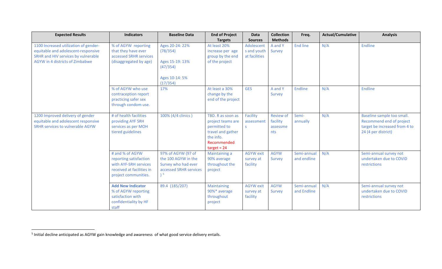<span id="page-28-0"></span>

| <b>Expected Results</b>                 | <b>Indicators</b>                           | <b>Baseline Data</b>        | <b>End of Project</b> | <b>Data</b>      | <b>Collection</b> | Freq.       | <b>Actual/Cumulative</b> | <b>Analysis</b>               |
|-----------------------------------------|---------------------------------------------|-----------------------------|-----------------------|------------------|-------------------|-------------|--------------------------|-------------------------------|
|                                         |                                             |                             | <b>Targets</b>        | <b>Sources</b>   | <b>Methods</b>    |             |                          |                               |
| 1100 Increased utilization of gender-   | % of AGYW reporting                         | Ages 20-24: 22%             | At least 20%          | Adolescent       | A and Y           | End line    | N/A                      | Endline                       |
| equitable and adolescent-responsive     | that they have ever                         | (78/354)                    | increase per age      | s and youth      | Survey            |             |                          |                               |
| SRHR and HIV services by vulnerable     | accessed SRHR services                      |                             | group by the end      | at facilities    |                   |             |                          |                               |
| AGYW in 4 districts of Zimbabwe         | (disaggregated by age)                      | Ages 15-19: 13%<br>(47/354) | of the project        |                  |                   |             |                          |                               |
|                                         |                                             | Ages 10-14: 5%<br>(17/354)  |                       |                  |                   |             |                          |                               |
|                                         | % of AGYW who use                           | 17%                         | At least a 30%        | <b>GES</b>       | A and Y           | Endline     | N/A                      | Endline                       |
|                                         | contraception report                        |                             | change by the         |                  | Survey            |             |                          |                               |
|                                         | practicing safer sex<br>through condom use. |                             | end of the project    |                  |                   |             |                          |                               |
| 1200 Improved delivery of gender        | # of health facilities                      | 100% (4/4 clinics)          | TBD. R as soon as     | Facility         | <b>Review of</b>  | Semi-       | N/A                      | Baseline sample too small.    |
| equitable and adolescent responsive     | providing AYF SRH                           |                             | project teams are     | assessment       | facility          | annually    |                          | Recommend end of project      |
| <b>SRHR services to vulnerable AGYW</b> | services as per MOH                         |                             | permitted to          | S                | assessme          |             |                          | target be increased from 4 to |
|                                         | tiered guidelines                           |                             | travel and gather     |                  | nts               |             |                          | 24 (4 per district)           |
|                                         |                                             |                             | the info.             |                  |                   |             |                          |                               |
|                                         |                                             |                             | Recommended           |                  |                   |             |                          |                               |
|                                         |                                             |                             | $target = 24$         |                  |                   |             |                          |                               |
|                                         | # and % of AGYW                             | 97% of AGYW (97 of          | Maintaining a         | <b>AGYW</b> exit | <b>AGYW</b>       | Semi-annual | N/A                      | Semi-annual survey not        |
|                                         | reporting satisfaction                      | the 100 AGYW in the         | 90% average           | survey at        | Survey            | and endline |                          | undertaken due to COVID       |
|                                         | with AYF-SRH services                       | Survey who had ever         | throughout the        | facility         |                   |             |                          | restrictions                  |
|                                         | received at facilities in                   | accessed SRHR services      | project               |                  |                   |             |                          |                               |
|                                         | project communities.                        | 5۱                          |                       |                  |                   |             |                          |                               |
|                                         |                                             |                             |                       |                  |                   |             |                          |                               |
|                                         | <b>Add New Indicator</b>                    | 89.4 (185/207)              | <b>Maintaining</b>    | <b>AGYW</b> exit | <b>AGYW</b>       | Semi-annual | N/A                      | Semi-annual survey not        |
|                                         | % of AGYW reporting                         |                             | 90%* average          | survey at        | Survey            | and Endline |                          | undertaken due to COVID       |
|                                         | satisfaction with                           |                             | throughout            | facility         |                   |             |                          | restrictions                  |
|                                         | confidentiality by HF                       |                             | project               |                  |                   |             |                          |                               |
|                                         | staff                                       |                             |                       |                  |                   |             |                          |                               |

 <sup>5</sup> Initial decline anticipated as AGYW gain knowledge and awareness of what good service delivery entails.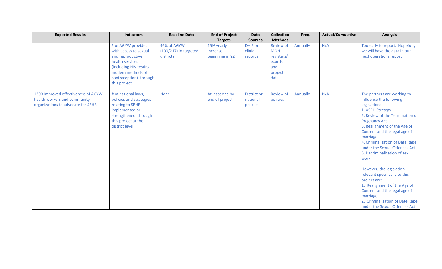| <b>Expected Results</b>                                                                                    | <b>Indicators</b>                                                                                                                                                             | <b>Baseline Data</b>                                | <b>End of Project</b>                     | Data                                       | <b>Collection</b>                                                                 | Freq.    | <b>Actual/Cumulative</b> | <b>Analysis</b>                                                                                                                                                                                                                                                                                                                                                                                                                                                                                                                                                            |
|------------------------------------------------------------------------------------------------------------|-------------------------------------------------------------------------------------------------------------------------------------------------------------------------------|-----------------------------------------------------|-------------------------------------------|--------------------------------------------|-----------------------------------------------------------------------------------|----------|--------------------------|----------------------------------------------------------------------------------------------------------------------------------------------------------------------------------------------------------------------------------------------------------------------------------------------------------------------------------------------------------------------------------------------------------------------------------------------------------------------------------------------------------------------------------------------------------------------------|
|                                                                                                            |                                                                                                                                                                               |                                                     | <b>Targets</b>                            | <b>Sources</b>                             | <b>Methods</b>                                                                    |          |                          |                                                                                                                                                                                                                                                                                                                                                                                                                                                                                                                                                                            |
|                                                                                                            | # of AGYW provided<br>with access to sexual<br>and reproductive<br>health services<br>(including HIV testing,<br>modern methods of<br>contraception), through<br>this project | 46% of AGYW<br>$(100/217)$ in targeted<br>districts | 15% yearly<br>increase<br>beginning in Y2 | <b>DHIS or</b><br>clinic<br>records        | <b>Review of</b><br><b>MOH</b><br>registers/r<br>ecords<br>and<br>project<br>data | Annually | N/A                      | Too early to report. Hopefully<br>we will have the data in our<br>next operations report                                                                                                                                                                                                                                                                                                                                                                                                                                                                                   |
| 1300 Improved effectiveness of AGYW,<br>health workers and community<br>organizations to advocate for SRHR | # of national laws,<br>policies and strategies<br>relating to SRHR<br>implemented or<br>strengthened, through<br>this project at the<br>district level                        | <b>None</b>                                         | At least one by<br>end of project         | <b>District or</b><br>national<br>policies | <b>Review of</b><br>policies                                                      | Annually | N/A                      | The partners are working to<br>influence the following<br>legislation:<br>1. ASRH Strategy<br>2. Review of the Termination of<br><b>Pregnancy Act</b><br>3. Realignment of the Age of<br>Consent and the legal age of<br>marriage<br>4. Criminalisation of Date Rape<br>under the Sexual Offences Act<br>5. Decriminalization of sex<br>work.<br>However, the legislation<br>relevant specifically to this<br>project are:<br>1. Realignment of the Age of<br>Consent and the legal age of<br>marriage<br>2. Criminalisation of Date Rape<br>under the Sexual Offences Act |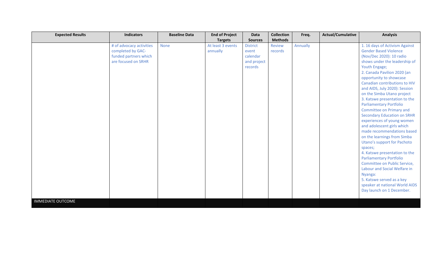| <b>Expected Results</b>  | <b>Indicators</b>        | <b>Baseline Data</b> | <b>End of Project</b> | Data            | <b>Collection</b> | Freq.    | <b>Actual/Cumulative</b> | <b>Analysis</b>                    |
|--------------------------|--------------------------|----------------------|-----------------------|-----------------|-------------------|----------|--------------------------|------------------------------------|
|                          |                          |                      | <b>Targets</b>        | <b>Sources</b>  | <b>Methods</b>    |          |                          |                                    |
|                          | # of advocacy activities | None                 | At least 3 events     | <b>District</b> | <b>Review</b>     | Annually |                          | 1. 16 days of Activism Against     |
|                          | completed by GAC-        |                      | annually              | event           | records           |          |                          | <b>Gender Based Violence</b>       |
|                          | funded partners which    |                      |                       | calendar        |                   |          |                          | (Nov/Dec 2020): 10 radio           |
|                          | are focused on SRHR      |                      |                       | and project     |                   |          |                          | shows under the leadership of      |
|                          |                          |                      |                       | records         |                   |          |                          | Youth Engage;                      |
|                          |                          |                      |                       |                 |                   |          |                          | 2. Canada Pavilion 2020 (an        |
|                          |                          |                      |                       |                 |                   |          |                          | opportunity to showcase            |
|                          |                          |                      |                       |                 |                   |          |                          | Canadian contributions to HIV      |
|                          |                          |                      |                       |                 |                   |          |                          | and AIDS, July 2020): Session      |
|                          |                          |                      |                       |                 |                   |          |                          | on the Simba Utano project         |
|                          |                          |                      |                       |                 |                   |          |                          | 3. Katswe presentation to the      |
|                          |                          |                      |                       |                 |                   |          |                          | <b>Parliamentary Portfolio</b>     |
|                          |                          |                      |                       |                 |                   |          |                          | Committee on Primary and           |
|                          |                          |                      |                       |                 |                   |          |                          | <b>Secondary Education on SRHR</b> |
|                          |                          |                      |                       |                 |                   |          |                          | experiences of young women         |
|                          |                          |                      |                       |                 |                   |          |                          | and adolescent girls which         |
|                          |                          |                      |                       |                 |                   |          |                          | made recommendations based         |
|                          |                          |                      |                       |                 |                   |          |                          | on the learnings from Simba        |
|                          |                          |                      |                       |                 |                   |          |                          | <b>Utano's support for Pachoto</b> |
|                          |                          |                      |                       |                 |                   |          |                          | spaces;                            |
|                          |                          |                      |                       |                 |                   |          |                          | 4. Katswe presentation to the      |
|                          |                          |                      |                       |                 |                   |          |                          | <b>Parliamentary Portfolio</b>     |
|                          |                          |                      |                       |                 |                   |          |                          | Committee on Public Service,       |
|                          |                          |                      |                       |                 |                   |          |                          | Labour and Social Welfare in       |
|                          |                          |                      |                       |                 |                   |          |                          | Nyanga:                            |
|                          |                          |                      |                       |                 |                   |          |                          | 5. Katswe served as a key          |
|                          |                          |                      |                       |                 |                   |          |                          | speaker at national World AIDS     |
|                          |                          |                      |                       |                 |                   |          |                          | Day launch on 1 December.          |
|                          |                          |                      |                       |                 |                   |          |                          |                                    |
| <b>IMMEDIATE OUTCOME</b> |                          |                      |                       |                 |                   |          |                          |                                    |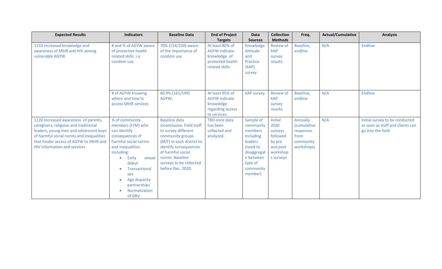| <b>Expected Results</b>                                                                                                                                                                                                                              | <b>Indicators</b>                                                                                                                                                                                                                                             | <b>Baseline Data</b>                                                                                                                                                                                                                       | <b>End of Project</b>                                                                         | Data                                                                                                                                 | <b>Collection</b>                                                                     | Freq.                                                                          | <b>Actual/Cumulative</b> | <b>Analysis</b>                                                                         |
|------------------------------------------------------------------------------------------------------------------------------------------------------------------------------------------------------------------------------------------------------|---------------------------------------------------------------------------------------------------------------------------------------------------------------------------------------------------------------------------------------------------------------|--------------------------------------------------------------------------------------------------------------------------------------------------------------------------------------------------------------------------------------------|-----------------------------------------------------------------------------------------------|--------------------------------------------------------------------------------------------------------------------------------------|---------------------------------------------------------------------------------------|--------------------------------------------------------------------------------|--------------------------|-----------------------------------------------------------------------------------------|
|                                                                                                                                                                                                                                                      |                                                                                                                                                                                                                                                               |                                                                                                                                                                                                                                            | <b>Targets</b>                                                                                | <b>Sources</b>                                                                                                                       | <b>Methods</b>                                                                        |                                                                                |                          |                                                                                         |
| 1110 Increased knowledge and<br>awareness of SRHR and HIV among<br>vulnerable AGYW                                                                                                                                                                   | # and % of AGYW aware<br>of protective health<br>related skills i.e.<br>condom use.                                                                                                                                                                           | 70% (154/220) aware<br>of the importance of<br>condom use                                                                                                                                                                                  | At least 80% of<br><b>AGYW</b> indicate<br>knowledge of<br>protected health<br>related skills | Knowledge<br>Attitude<br>and<br>Practice<br>(KAP)<br>survey                                                                          | <b>Review of</b><br><b>KAP</b><br>survey<br>results                                   | Baseline,<br>endline                                                           | N/A                      | Endline                                                                                 |
|                                                                                                                                                                                                                                                      | # of AGYW knowing<br>where and how to<br>access SRHR services                                                                                                                                                                                                 | 80.9% (161/199)<br>AGYW;                                                                                                                                                                                                                   | At least 95% of<br><b>AGYW</b> indicate<br>knowledge<br>regarding access<br>to services.      | <b>KAP survey</b>                                                                                                                    | <b>Review of</b><br><b>KAP</b><br>survey<br>results                                   | Baseline,<br>endline                                                           | N/A                      | Endline                                                                                 |
| 1120 Increased awareness of parents,<br>caregivers, religious and traditional<br>leaders, young men and adolescent boys<br>of harmful social norms and inequalities<br>that hinder access of AGYW to SRHR and<br><b>HIV information and services</b> | % of community<br>members (F/M) who<br>can identify<br>consequences of<br>harmful social norms<br>and inequalities<br>including:<br>Early<br>sexual<br>$\bullet$<br>debut<br>Transactional<br>sex<br>Age disparity<br>partnerships<br>Normalization<br>of GBV | <b>Baseline data</b><br>inconclusive. Field staff<br>to survey different<br>community groups<br>(M/F) in each district to<br>identify consequences<br>of harmful social<br>norms. Baseline<br>surveys to be collected<br>before Dec. 2020. | <b>TBD</b> once data<br>has been<br>collected and<br>analyzed.                                | Sample of<br>community<br>members<br>including<br>leaders<br>(need to<br>disaggregat<br>e between<br>type of<br>community<br>member) | Initial<br>2020<br>surveys<br>followed<br>by pre<br>and post<br>workshop<br>s surveys | Annually<br><i>(cumulative</i><br>responses<br>from<br>community<br>workshops) | N/A                      | Initial survey to be conducted<br>as soon as staff and clients can<br>go into the field |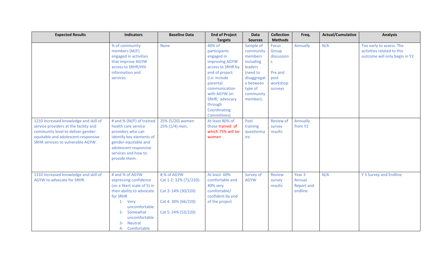| <b>Expected Results</b>                                                                                                                                                                          | <b>Indicators</b>                                                                                                                                                                                                              | <b>Baseline Data</b>                                                                                      | <b>End of Project</b>                                                                                                                                                                                                                     | Data                                                                                                                                                    | <b>Collection</b><br><b>Methods</b>                                                 | Freq.                                     | <b>Actual/Cumulative</b> | <b>Analysis</b>                                                                         |
|--------------------------------------------------------------------------------------------------------------------------------------------------------------------------------------------------|--------------------------------------------------------------------------------------------------------------------------------------------------------------------------------------------------------------------------------|-----------------------------------------------------------------------------------------------------------|-------------------------------------------------------------------------------------------------------------------------------------------------------------------------------------------------------------------------------------------|---------------------------------------------------------------------------------------------------------------------------------------------------------|-------------------------------------------------------------------------------------|-------------------------------------------|--------------------------|-----------------------------------------------------------------------------------------|
|                                                                                                                                                                                                  | % of community<br>members (M/F)<br>engaged in activities<br>that improve AGYW<br>access to SRHR/HIV<br>information and<br>services                                                                                             | <b>None</b>                                                                                               | <b>Targets</b><br>40% of<br>participants<br>engaged in<br>improving AGYW<br>access to SRHR by<br>end of project<br>(i.e. include<br>parental<br>communication<br>with AGYW on<br>SRHR; advocacy<br>through<br>Coordinating<br>Committees) | <b>Sources</b><br>Sample of<br>community<br>members<br>including<br>leaders<br>(need to<br>disaggregat<br>e between<br>type of<br>community<br>member); | <b>Focus</b><br>Group<br>discussion<br>S.<br>Pre and<br>post<br>workshop<br>surveys | Annually                                  | N/A                      | Too early to assess. The<br>activities related to this<br>outcome will only begin in Y2 |
| 1210 Increased knowledge and skill of<br>service providers at the facility and<br>community level to deliver gender-<br>equitable and adolescent-responsive<br>SRHR services to vulnerable AGYW. | # and % (M/F) of trained<br>health care service<br>providers who can<br>identify key elements of<br>gender-equitable and<br>adolescent responsive<br>services and how to<br>provide them.                                      | 25% (5/20) women<br>25% (1/4) men;                                                                        | At least 80% of<br>those trained of<br>which 75% will be<br>women                                                                                                                                                                         | Post<br>training<br>questionna<br>ire                                                                                                                   | <b>Review of</b><br>survey<br>results                                               | Annually<br>from Y2                       |                          |                                                                                         |
| 1310 Increased knowledge and skill of<br>AGYW to advocate for SRHR.                                                                                                                              | # and % of AGYW<br>expressing confidence<br>(on a likert scale of 5) in<br>their ability to advocate<br>for SRHR<br>1- Very<br>uncomfortable<br>Somewhat<br>$2 -$<br>uncomfortable<br><b>Neutral</b><br>$3-$<br>4- Comfortable | #,% of AGYW<br>Cat 1-2: 32% (71/220):<br>Cat 3: 14% (30/220)<br>Cat 4:30% (66/220)<br>Cat 5: 24% (53/220) | At least 60%<br>comfortable and<br>40% very<br>comfortable/<br>confident by end<br>of the project                                                                                                                                         | Survey of<br><b>AGYW</b>                                                                                                                                | <b>Review</b><br>survey<br>results                                                  | Year 3<br>Annual<br>Report and<br>endline | N/A                      | Y 3 Survey and Endline                                                                  |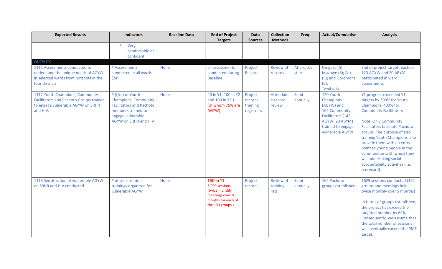| <b>Expected Results</b>                                                                                                            | <b>Indicators</b>                                                                                                                                            | <b>Baseline Data</b> | <b>End of Project</b>                                                                                       | Data                                             | <b>Collection</b>                     | Freq.               | <b>Actual/Cumulative</b>                                                                                                              | <b>Analysis</b>                                                                                                                                                                                                                                                                                                                                                                                                                  |
|------------------------------------------------------------------------------------------------------------------------------------|--------------------------------------------------------------------------------------------------------------------------------------------------------------|----------------------|-------------------------------------------------------------------------------------------------------------|--------------------------------------------------|---------------------------------------|---------------------|---------------------------------------------------------------------------------------------------------------------------------------|----------------------------------------------------------------------------------------------------------------------------------------------------------------------------------------------------------------------------------------------------------------------------------------------------------------------------------------------------------------------------------------------------------------------------------|
|                                                                                                                                    |                                                                                                                                                              |                      | <b>Targets</b>                                                                                              | <b>Sources</b>                                   | <b>Methods</b>                        |                     |                                                                                                                                       |                                                                                                                                                                                                                                                                                                                                                                                                                                  |
|                                                                                                                                    | 5- Very<br>comfortable or<br>confident                                                                                                                       |                      |                                                                                                             |                                                  |                                       |                     |                                                                                                                                       |                                                                                                                                                                                                                                                                                                                                                                                                                                  |
| <b>OUTPUTS</b>                                                                                                                     |                                                                                                                                                              |                      |                                                                                                             |                                                  |                                       |                     |                                                                                                                                       |                                                                                                                                                                                                                                                                                                                                                                                                                                  |
| 1111 Assessments conducted to<br>understand the unique needs of AGYW<br>in selected wards from hotspots in the<br>four districts   | # Assessments<br>conducted in all wards<br>(24)                                                                                                              | <b>None</b>          | all assessments<br>conducted during<br><b>Baseline</b>                                                      | Project<br>Records                               | <b>Review of</b><br>records           | At project<br>start | Umguza (5);<br>Mazowe (8); Seke<br>(5); and Goromonzi<br>$(6)$ ;<br>$Total = 24$                                                      | End of project target reached<br>123 AGYW and 20 ABYM<br>participated in ward<br>assessments                                                                                                                                                                                                                                                                                                                                     |
| 1112 Youth Champions, Community<br><b>Facilitators and Pachoto Groups trained</b><br>to engage vulnerable AGYW on SRHR<br>and HIV. | # (f/m) of Youth<br><b>Champions, Community</b><br><b>Facilitators and Pachoto</b><br>members trained to<br>engage vulnerable<br><b>AGYW on SRHR and HIV</b> | <b>None</b>          | 40 in Y1; 100 in Y2<br>and 100 in Y3.)<br>(of whom 75% are<br>AGYW)                                         | Project<br>$records -$<br>training<br>registrars | Attendanc<br>e record<br>review       | Semi<br>annually    | 120 Youth<br>Champions<br>(AGYW) and<br>162 Community<br>Facilitators (142<br>AGYW; 20 ABYM)<br>trained to engage<br>vulnerable AGYW; | Y1 progress exceeded Y1<br>targets by 300% for Youth<br>Champions, 400% for<br><b>Community Facilitators</b><br><b>Note: Only Community</b><br><b>Facilitators facilitate Pachoto</b><br>groups. The purpose of also<br>training Youth Champions is to<br>provide them with an entry<br>point to young people in the<br>communities with which they<br>will undertaking social<br>accountability activities (i.e.<br>scorecard). |
| 1113 Sensitization of vulnerable AGYW<br>on SRHR and HIV conducted                                                                 | # of sensitization<br>trainings organized for<br>vulnerable AGYW                                                                                             | <b>None</b>          | TBD in Y1:<br>6,000 sessions<br>(twice monthly<br>meetings over 30<br>months for each of<br>the 100 groups) | Project<br>records                               | <b>Review of</b><br>training<br>lists | Semi<br>annually    | 162 Pachoto<br>groups established                                                                                                     | 1629 sessions conducted (162<br>groups and meetings held<br>twice monthly over 5 months)<br>In terms of groups established,<br>the project has exceed the<br>targeted number by 69%.<br>Consequently, we assume that<br>the total number of sessions<br>will eventually exceed the PMF<br>target.                                                                                                                                |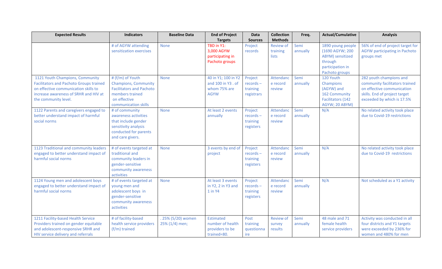| <b>Expected Results</b>                                                                                                                                                                    | <b>Indicators</b>                                                                                                                             | <b>Baseline Data</b>                 | <b>End of Project</b>                                                    | <b>Data</b>                                      | <b>Collection</b>                     | Freq.            | <b>Actual/Cumulative</b>                                                                                  | <b>Analysis</b>                                                                                                                                        |
|--------------------------------------------------------------------------------------------------------------------------------------------------------------------------------------------|-----------------------------------------------------------------------------------------------------------------------------------------------|--------------------------------------|--------------------------------------------------------------------------|--------------------------------------------------|---------------------------------------|------------------|-----------------------------------------------------------------------------------------------------------|--------------------------------------------------------------------------------------------------------------------------------------------------------|
|                                                                                                                                                                                            |                                                                                                                                               |                                      | <b>Targets</b>                                                           | <b>Sources</b>                                   | <b>Methods</b>                        |                  |                                                                                                           |                                                                                                                                                        |
|                                                                                                                                                                                            | # of AGYW attending<br>sensitization exercises                                                                                                | <b>None</b>                          | TBD in Y1:<br>3,000 AGYW<br>participating in<br>Pachoto groups           | Project<br>records                               | <b>Review of</b><br>training<br>lists | Semi<br>annually | 1890 young people<br>(1690 AGYW; 200<br>ABYM) sensitized<br>through<br>participation in<br>Pachoto groups | 56% of end of project target for<br><b>AGYW</b> participating in Pachoto<br>groups met                                                                 |
| 1121 Youth Champions, Community<br><b>Facilitators and Pachoto Groups trained</b><br>on effective communication skills to<br>increase awareness of SRHR and HIV at<br>the community level. | # (f/m) of Youth<br><b>Champions, Community</b><br><b>Facilitators and Pachoto</b><br>members trained<br>on effective<br>communication skills | <b>None</b>                          | 40 in Y1; 100 in Y2<br>and 100 in Y3 . of<br>whom 75% are<br><b>AGYW</b> | Project<br>$records -$<br>training<br>registrars | Attendanc<br>e record<br>review       | Semi<br>annually | 120 Youth<br>Champions<br>(AGYW) and<br>162 Community<br><b>Facilitators (142)</b><br>AGYW; 20 ABYM)      | 282 youth champions and<br>community facilitators trained<br>on effective communication<br>skills. End of project target<br>exceeded by which is 17.5% |
| 1122 Parents and caregivers engaged to<br>better understand impact of harmful<br>social norms                                                                                              | # of community<br>awareness activities<br>that include gender<br>sensitivity analysis<br>conducted for parents<br>and care givers.            | <b>None</b>                          | At least 2 events<br>annually                                            | Project<br>$records -$<br>training<br>registers  | Attendanc<br>e record<br>review       | Semi<br>annually | N/A                                                                                                       | No related activity took place<br>due to Covid-19 restrictions                                                                                         |
| 1123 Traditional and community leaders<br>engaged to better understand impact of<br>harmful social norms                                                                                   | # of events targeted at<br>traditional and<br>community leaders in<br>gender-sensitive<br>community awareness<br>activities                   | <b>None</b>                          | 3 events by end of<br>project                                            | Project<br>$records -$<br>training<br>registers  | Attendanc<br>e record<br>review       | Semi<br>annually | N/A                                                                                                       | No related activity took place<br>due to Covid-19 restrictions                                                                                         |
| 1124 Young men and adolescent boys<br>engaged to better understand impact of<br>harmful social norms                                                                                       | # of events targeted at<br>young men and<br>adolescent boys in<br>gender-sensitive<br>community awareness<br>activities                       | <b>None</b>                          | At least 3 events<br>in Y2, 2 in Y3 and<br>1 in Y4                       | Project<br>records-<br>training<br>registers     | Attendanc<br>e record<br>review       | Semi<br>annually | N/A                                                                                                       | Not scheduled as a Y1 activity                                                                                                                         |
| 1211 Facility-based Health Service<br>Providers trained on gender equitable<br>and adolescent-responsive SRHR and<br>HIV service delivery and referrals                                    | # of facility-based<br>health service providers<br>(f/m) trained                                                                              | . 25% (5/20) women<br>25% (1/4) men; | <b>Estimated</b><br>number of health<br>providers to be<br>trained=80.   | Post<br>training<br>questionna<br>ire            | <b>Review of</b><br>survey<br>results | Semi<br>annually | 48 male and 71<br>female health<br>service providers                                                      | Activity was conducted in all<br>four districts and Y1 targets<br>were exceeded by 236% for<br>women and 480% for men                                  |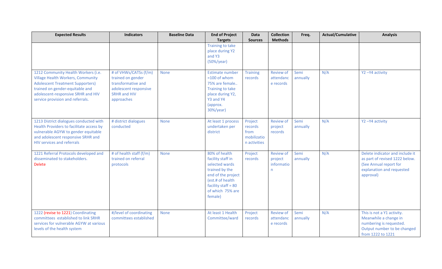| <b>Expected Results</b>                                                   | <b>Indicators</b>       | <b>Baseline Data</b> | <b>End of Project</b>      | Data            | <b>Collection</b> | Freq.    | <b>Actual/Cumulative</b> | <b>Analysis</b>                 |
|---------------------------------------------------------------------------|-------------------------|----------------------|----------------------------|-----------------|-------------------|----------|--------------------------|---------------------------------|
|                                                                           |                         |                      | <b>Targets</b>             | <b>Sources</b>  | <b>Methods</b>    |          |                          |                                 |
|                                                                           |                         |                      | <b>Training to take</b>    |                 |                   |          |                          |                                 |
|                                                                           |                         |                      | place during Y2            |                 |                   |          |                          |                                 |
|                                                                           |                         |                      | and Y3                     |                 |                   |          |                          |                                 |
|                                                                           |                         |                      | $(50\%/year)$              |                 |                   |          |                          |                                 |
|                                                                           |                         |                      |                            |                 |                   |          |                          |                                 |
| 1212 Community Health Workers (i.e.                                       | # of VHWs/CATSs (f/m)   | <b>None</b>          | Estimate number            | <b>Training</b> | <b>Review of</b>  | Semi     | N/A                      | Y2-Y4 activity                  |
| <b>Village Health Workers, Community</b>                                  | trained on gender       |                      | $=100$ of whom             | records         | attendanc         | annually |                          |                                 |
| <b>Adolescent Treatment Supporters)</b>                                   | transformative and      |                      | 75% are female             |                 | e records         |          |                          |                                 |
| trained on gender-equitable and                                           | adolescent responsive   |                      | Training to take           |                 |                   |          |                          |                                 |
| adolescent-responsive SRHR and HIV                                        | <b>SRHR and HIV</b>     |                      | place during Y2,           |                 |                   |          |                          |                                 |
| service provision and referrals.                                          | approaches              |                      | Y3 and Y4                  |                 |                   |          |                          |                                 |
|                                                                           |                         |                      | (approx.                   |                 |                   |          |                          |                                 |
|                                                                           |                         |                      | 30%/year)                  |                 |                   |          |                          |                                 |
|                                                                           |                         |                      |                            |                 |                   |          |                          |                                 |
| 1213 District dialogues conducted with                                    | # district dialogues    | <b>None</b>          | At least 1 process         | Project         | <b>Review of</b>  | Semi     | N/A                      | Y2-Y4 activity                  |
| Health Providers to facilitate access by                                  | conducted               |                      | undertaken per<br>district | records<br>from | project           | annually |                          |                                 |
| vulnerable AGYW to gender equitable<br>and adolescent responsive SRHR and |                         |                      |                            | mobilizatio     | records           |          |                          |                                 |
| <b>HIV services and referrals</b>                                         |                         |                      |                            | n activities    |                   |          |                          |                                 |
|                                                                           |                         |                      |                            |                 |                   |          |                          |                                 |
| 1221 Referral Protocols developed and                                     | # of health staff (f/m) | <b>None</b>          | 80% of health              | Project         | <b>Review of</b>  | Semi     | N/A                      | Delete indicator and include it |
| disseminated to stakeholders.                                             | trained on referral     |                      | facility staff in          | records         | project           | annually |                          | as part of revised 1222 below.  |
| <b>Delete</b>                                                             | protocols               |                      | selected wards             |                 | informatio        |          |                          | (See Annual report for          |
|                                                                           |                         |                      | trained by the             |                 | n.                |          |                          | explanation and requested       |
|                                                                           |                         |                      | end of the project         |                 |                   |          |                          | approval)                       |
|                                                                           |                         |                      | (est.# of health           |                 |                   |          |                          |                                 |
|                                                                           |                         |                      | facility staff = $80$      |                 |                   |          |                          |                                 |
|                                                                           |                         |                      | of which 75% are           |                 |                   |          |                          |                                 |
|                                                                           |                         |                      | female)                    |                 |                   |          |                          |                                 |
|                                                                           |                         |                      |                            |                 |                   |          |                          |                                 |
|                                                                           |                         |                      |                            |                 |                   |          |                          |                                 |
| 1222 (revise to 1221) Coordinating                                        | #/level of coordinating | <b>None</b>          | At least 1 Health          | Project         | <b>Review of</b>  | Semi     | N/A                      | This is not a Y1 activity.      |
| committees established to link SRHR                                       | committees established  |                      | Committee/ward             | records         | attendanc         | annually |                          | Meanwhile a change in           |
| services for vulnerable AGYW at various                                   |                         |                      |                            |                 | e records         |          |                          | numbering is requested.         |
| levels of the health system                                               |                         |                      |                            |                 |                   |          |                          | Output number to be changed     |
|                                                                           |                         |                      |                            |                 |                   |          |                          | from 1222 to 1221               |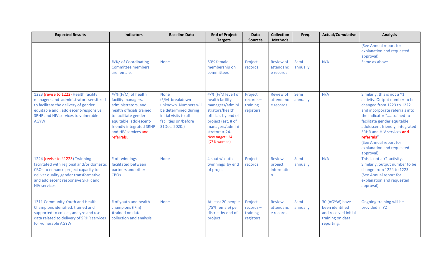| <b>Expected Results</b>                                                                                                                                                                                                   | <b>Indicators</b>                                                                                                                                                                                                | <b>Baseline Data</b>                                                                                                                             | <b>End of Project</b>                                                                                                                                                                              | <b>Data</b>                                     | <b>Collection</b>                            | Freq.             | <b>Actual/Cumulative</b>                                                                    | <b>Analysis</b>                                                                                                                                                                                                                                                                                                                            |
|---------------------------------------------------------------------------------------------------------------------------------------------------------------------------------------------------------------------------|------------------------------------------------------------------------------------------------------------------------------------------------------------------------------------------------------------------|--------------------------------------------------------------------------------------------------------------------------------------------------|----------------------------------------------------------------------------------------------------------------------------------------------------------------------------------------------------|-------------------------------------------------|----------------------------------------------|-------------------|---------------------------------------------------------------------------------------------|--------------------------------------------------------------------------------------------------------------------------------------------------------------------------------------------------------------------------------------------------------------------------------------------------------------------------------------------|
|                                                                                                                                                                                                                           |                                                                                                                                                                                                                  |                                                                                                                                                  | <b>Targets</b>                                                                                                                                                                                     | <b>Sources</b>                                  | <b>Methods</b>                               |                   |                                                                                             |                                                                                                                                                                                                                                                                                                                                            |
|                                                                                                                                                                                                                           |                                                                                                                                                                                                                  |                                                                                                                                                  |                                                                                                                                                                                                    |                                                 |                                              |                   |                                                                                             | (See Annual report for<br>explanation and requested<br>approval)                                                                                                                                                                                                                                                                           |
|                                                                                                                                                                                                                           | #/%/ of Coordinating<br><b>Committee members</b><br>are female.                                                                                                                                                  | <b>None</b>                                                                                                                                      | 50% female<br>membership on<br>committees                                                                                                                                                          | Project<br>records                              | <b>Review of</b><br>attendanc<br>e records   | Semi<br>annually  | N/A                                                                                         | Same as above                                                                                                                                                                                                                                                                                                                              |
| 1223 (revise to 1222) Health facility<br>managers and administrators sensitized<br>to facilitate the delivery of gender<br>equitable and, adolescent-responsive<br>SRHR and HIV services to vulnerable<br><b>AGYW</b>     | #/% (F/M) of health<br>facility managers,<br>administrators, and<br>health officials trained<br>to facilitate gender<br>equitable, adolescent-<br>friendly integrated SRHR<br>and HIV services and<br>referrals. | <b>None</b><br>(F/M breakdown<br>unknown. Numbers will<br>be determined during<br>initial visits to all<br>facilities on/before<br>31Dec. 2020.) | #/% (F/M level) of<br>health facility<br>managers/admini<br>strators/health<br>officials by end of<br>project (est. # of<br>managers/admini<br>strators = $24$ .<br>New target : 24<br>(75% women) | Project<br>$records -$<br>training<br>registers | <b>Review of</b><br>attendanc<br>e records   | Semi<br>annually  | N/A                                                                                         | Similarly, this is not a Y1<br>activity. Output number to be<br>changed from 1223 to 1222<br>and incorporate referrals into<br>the indicator "trained to<br>facilitate gender equitable,<br>adolescent friendly, integrated<br>SRHR and HIV services and<br>referrals"<br>(See Annual report for<br>explanation and requested<br>approval) |
| 1224 (revise to #1223) Twinning<br>facilitated with regional and/or domestic<br>CBOs to enhance project capacity to<br>deliver quality gender transformative<br>and adolescent responsive SRHR and<br><b>HIV services</b> | # of twinnings<br>facilitated between<br>partners and other<br><b>CBO<sub>S</sub></b>                                                                                                                            | <b>None</b>                                                                                                                                      | 4 south/south<br>twinnings by end<br>of project                                                                                                                                                    | Project<br>records                              | <b>Review</b><br>project<br>informatio<br>n. | Semi-<br>annually | N/A                                                                                         | This is not a Y1 activity.<br>Similarly, output number to be<br>change from 1224 to 1223.<br>(See Annual report for<br>explanation and requested<br>approval)                                                                                                                                                                              |
| 1311 Community Youth and Health<br>Champions identified, trained and<br>supported to collect, analyze and use<br>data related to delivery of SRHR services<br>for vulnerable AGYW                                         | # of youth and health<br>champions (f/m)<br>)trained on data<br>collection and analysis                                                                                                                          | <b>None</b>                                                                                                                                      | At least 20 people<br>(75% female) per<br>district by end of<br>project                                                                                                                            | Project<br>$records -$<br>training<br>registers | Review<br>attendanc<br>e records             | Semi-<br>annually | 30 (AGYW) have<br>been identified<br>and received initial<br>training on data<br>reporting. | Ongoing training will be<br>provided in Y2                                                                                                                                                                                                                                                                                                 |